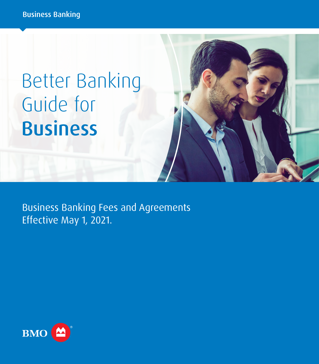# Better Banking Guide for Business

Business Banking Fees and Agreements Effective May 1, 2021.

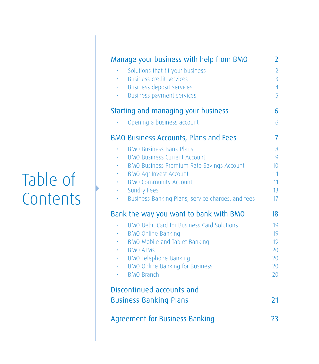## Table of **Contents**

| Solutions that fit your business<br><b>Business credit services</b><br><b>Business deposit services</b><br><b>Business payment services</b><br>Starting and managing your business<br>Opening a business account<br><b>BMO Business Accounts, Plans and Fees</b><br><b>BMO Business Bank Plans</b><br><b>BMO Business Current Account</b><br><b>BMO Business Premium Rate Savings Account</b><br><b>BMO Agrilnvest Account</b><br>٠<br><b>BMO Community Account</b><br>۰<br><b>Sundry Fees</b><br>×.<br>Business Banking Plans, service charges, and fees<br>Bank the way you want to bank with BMO<br><b>BMO Debit Card for Business Card Solutions</b><br><b>BMO Online Banking</b><br>$\bullet$ . | $\overline{2}$<br>$\overline{3}$<br>$\overline{4}$<br>5<br>6<br>6<br>7<br>8<br>9<br>10 <sup>1</sup><br>11 |
|------------------------------------------------------------------------------------------------------------------------------------------------------------------------------------------------------------------------------------------------------------------------------------------------------------------------------------------------------------------------------------------------------------------------------------------------------------------------------------------------------------------------------------------------------------------------------------------------------------------------------------------------------------------------------------------------------|-----------------------------------------------------------------------------------------------------------|
|                                                                                                                                                                                                                                                                                                                                                                                                                                                                                                                                                                                                                                                                                                      |                                                                                                           |
|                                                                                                                                                                                                                                                                                                                                                                                                                                                                                                                                                                                                                                                                                                      |                                                                                                           |
|                                                                                                                                                                                                                                                                                                                                                                                                                                                                                                                                                                                                                                                                                                      |                                                                                                           |
|                                                                                                                                                                                                                                                                                                                                                                                                                                                                                                                                                                                                                                                                                                      |                                                                                                           |
|                                                                                                                                                                                                                                                                                                                                                                                                                                                                                                                                                                                                                                                                                                      |                                                                                                           |
|                                                                                                                                                                                                                                                                                                                                                                                                                                                                                                                                                                                                                                                                                                      |                                                                                                           |
|                                                                                                                                                                                                                                                                                                                                                                                                                                                                                                                                                                                                                                                                                                      |                                                                                                           |
|                                                                                                                                                                                                                                                                                                                                                                                                                                                                                                                                                                                                                                                                                                      |                                                                                                           |
|                                                                                                                                                                                                                                                                                                                                                                                                                                                                                                                                                                                                                                                                                                      |                                                                                                           |
|                                                                                                                                                                                                                                                                                                                                                                                                                                                                                                                                                                                                                                                                                                      |                                                                                                           |
|                                                                                                                                                                                                                                                                                                                                                                                                                                                                                                                                                                                                                                                                                                      |                                                                                                           |
|                                                                                                                                                                                                                                                                                                                                                                                                                                                                                                                                                                                                                                                                                                      | 11                                                                                                        |
|                                                                                                                                                                                                                                                                                                                                                                                                                                                                                                                                                                                                                                                                                                      | 13                                                                                                        |
|                                                                                                                                                                                                                                                                                                                                                                                                                                                                                                                                                                                                                                                                                                      | 17                                                                                                        |
|                                                                                                                                                                                                                                                                                                                                                                                                                                                                                                                                                                                                                                                                                                      | 18                                                                                                        |
|                                                                                                                                                                                                                                                                                                                                                                                                                                                                                                                                                                                                                                                                                                      | 19                                                                                                        |
|                                                                                                                                                                                                                                                                                                                                                                                                                                                                                                                                                                                                                                                                                                      | 19                                                                                                        |
| BMO Mobile and Tablet Banking<br>$\mathbf{e}^{(1)}$ .                                                                                                                                                                                                                                                                                                                                                                                                                                                                                                                                                                                                                                                | 19                                                                                                        |
| <b>BMO ATMS</b>                                                                                                                                                                                                                                                                                                                                                                                                                                                                                                                                                                                                                                                                                      | 20                                                                                                        |
| <b>BMO Telephone Banking</b>                                                                                                                                                                                                                                                                                                                                                                                                                                                                                                                                                                                                                                                                         | 20                                                                                                        |
| <b>BMO Online Banking for Business</b>                                                                                                                                                                                                                                                                                                                                                                                                                                                                                                                                                                                                                                                               | 20                                                                                                        |
| <b>BMO Branch</b><br>×.                                                                                                                                                                                                                                                                                                                                                                                                                                                                                                                                                                                                                                                                              | 20                                                                                                        |
| Discontinued accounts and                                                                                                                                                                                                                                                                                                                                                                                                                                                                                                                                                                                                                                                                            |                                                                                                           |
| <b>Business Banking Plans</b>                                                                                                                                                                                                                                                                                                                                                                                                                                                                                                                                                                                                                                                                        | 21                                                                                                        |
| <b>Agreement for Business Banking</b>                                                                                                                                                                                                                                                                                                                                                                                                                                                                                                                                                                                                                                                                | 23                                                                                                        |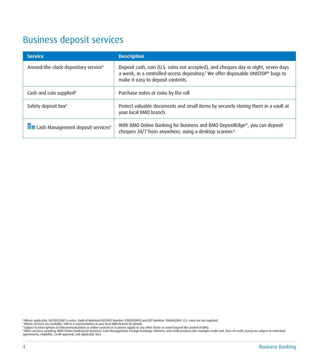## <span id="page-5-0"></span>Business deposit services

| <b>Service</b>                                   | <b>Description</b>                                                                                                                                                                                                      |
|--------------------------------------------------|-------------------------------------------------------------------------------------------------------------------------------------------------------------------------------------------------------------------------|
| Around-the-clock-depository service <sup>6</sup> | Deposit cash, coin (U.S. coins not accepted), and cheques day or night, seven days<br>a week, in a controlled-access depository. <sup>7</sup> We offer disposable UNISTOP® bags to<br>make it easy to deposit contents. |
| Cash and coin supplied <sup>6</sup>              | Purchase notes or coins by the roll                                                                                                                                                                                     |
| Safety deposit box <sup>6</sup>                  | Protect valuable documents and small items by securely storing them in a vault at<br>your local BMO branch.                                                                                                             |
| E Cash Management deposit services <sup>9</sup>  | With BMO Online Banking for Business and BMO DepositEdge®, you can deposit<br>cheques 24/7 from anywhere, using a desktop scanner. <sup>8</sup>                                                                         |

<span id="page-5-1"></span>

<span id="page-5-2"></span>

<span id="page-5-4"></span><span id="page-5-3"></span>

<sup>c</sup> Where applicable, Q5T/GST/HST is exta. Bank of Montreal GST/HST Number. R00390095 and QST Number: 1000042494. U.S. coins are not supplied.<br>"Where services including: BMO Online Banking on the State and No March State a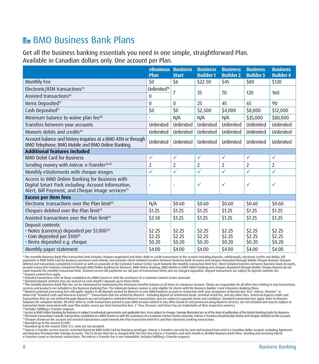## <span id="page-9-0"></span>BMO Business Bank Plans

Get all the business banking essentials you need in one simple, straightforward Plan. Available in Canadian dollars only. One account per Plan.

|                                                                                                                                                                      | <b>eBusiness</b><br>Plan   | <b>Business</b><br><b>Start</b> | <b>Business</b><br><b>Builder1</b> | <b>Business</b><br><b>Builder 2</b> | <b>Business</b><br><b>Builder 3</b> | <b>Business</b><br><b>Builder 4</b> |
|----------------------------------------------------------------------------------------------------------------------------------------------------------------------|----------------------------|---------------------------------|------------------------------------|-------------------------------------|-------------------------------------|-------------------------------------|
| Monthly Fee                                                                                                                                                          | 50                         | \$6                             | \$22.50                            | \$45                                | \$80                                | \$120                               |
| Electronic/ATM transactions <sup>14</sup>                                                                                                                            | Unlimited <sup>15</sup>    | 7                               | 35                                 | 70                                  | 120                                 | 160                                 |
| Assisted transactions <sup>16</sup>                                                                                                                                  | $\mathbf{0}$               |                                 |                                    |                                     |                                     |                                     |
| Items Deposited <sup>17</sup>                                                                                                                                        | $\Omega$                   | $\mathbf{0}$                    | 25                                 | 45                                  | 65                                  | 90                                  |
| Cash Deposited <sup>17</sup>                                                                                                                                         | \$0                        | \$0                             | \$2,500                            | \$4,000                             | \$8,000                             | \$12,000                            |
| Minimum balance to waive plan fee <sup>18</sup>                                                                                                                      |                            | N/A                             | N/A                                | N/A                                 | \$35,000                            | \$80,000                            |
| Transfers between your accounts                                                                                                                                      | Unlimited                  | Unlimited                       | Unlimited                          | Unlimited                           | Unlimited                           | Unlimited                           |
| Moneris debits and credits <sup>19</sup>                                                                                                                             | Unlimited                  | Unlimited                       | Unlimited                          | Unlimited                           | Unlimited                           | Unlimited                           |
| Account balance and history inquiries at a BMO ATM or through<br>BMO Telephone, BMO Mobile and BMO Online Banking.                                                   | Unlimited                  | Unlimited                       | Unlimited                          | Unlimited                           | Unlimited                           | Unlimited                           |
| <b>Additional features included</b>                                                                                                                                  |                            |                                 |                                    |                                     |                                     |                                     |
| <b>BMO Debit Card for Business</b>                                                                                                                                   | $\checkmark$               | $\checkmark$                    | $\checkmark$                       | $\checkmark$                        | $\checkmark$                        | $\checkmark$                        |
| Sending money with Interac e-Transfer <sup>20,67</sup>                                                                                                               | 2                          | 2                               | 2                                  | 2                                   | 2                                   | 2                                   |
| Monthly eStatements with cheque images                                                                                                                               | $\checkmark$               | ✓                               | $\checkmark$                       | $\checkmark$                        | $\checkmark$                        | $\checkmark$                        |
| Access to BMO Online Banking for Business with<br>Digital Smart Pack including: Account Information,<br>Alert, Bill Payment, and Cheque Image services <sup>21</sup> |                            | ٠                               | $\checkmark$                       | $\checkmark$                        | $\checkmark$                        | $\checkmark$                        |
| <b>Excess per item fees</b>                                                                                                                                          |                            |                                 |                                    |                                     |                                     |                                     |
| Electronic transactions over the Plan limit <sup>22</sup>                                                                                                            | N/A                        | \$0.60                          | \$0.60                             | \$0.60                              | \$0.60                              | \$0.60                              |
| Cheques debited over the Plan limit <sup>23</sup>                                                                                                                    | \$1.25                     | \$1.25                          | \$1.25                             | \$1.25                              | \$1.25                              | \$1.25                              |
| Assisted transactions over the Plan limit <sup>23</sup>                                                                                                              | \$3.50                     | \$1.25                          | \$1.25                             | \$1.25                              | \$1.25                              | \$1.25                              |
| Deposit contents<br>• Notes (currency) deposited per \$1,000 <sup>24</sup><br>Coin deposited per \$100 <sup>25</sup><br>· Items deposited e.g. cheque                | \$2.25<br>\$2.25<br>\$0.20 | \$2.25<br>\$2.25<br>\$0.20      | \$2.25<br>\$2.25<br>\$0.20         | \$2.25<br>\$2.25<br>\$0.20          | \$2.25<br>\$2.25<br>\$0.20          | \$2.25<br>\$2.25<br>\$0.20          |
| Monthly paper statement                                                                                                                                              | \$4.00                     | \$4.00                          | \$4.00                             | \$4.00                              | \$4.00                              | \$4.00                              |

<span id="page-9-1"></span>14 The monthly Business Bank Plan transaction limit includes cheques negotiated and other debit or credit transactions to the account including deposits, withdrawals, electronic credits and debits, bill payments or BMO Debit Grd for Business parchases and restandance and the metally are also that we are also the standard and the standard of the standard in the standard in the standard in the standard by the standard in th account transaction histories completed through BMO Online Banking for Business, BMO Online Banking, BMO Mobile or BMO Tablet Banking and cheques deposited through Mobile Cheque Deposit do not count towards the monthly transaction limit. Assisted service bill payments are not part of transactions limits and are charged separately. Deposit transactions are subject to deposit contents fee. <sup>5</sup> Deposit content fees apply.

<span id="page-9-3"></span><span id="page-9-2"></span>16 Assisted transactions refer to those completed at a BMO branch or with the assistance of a Customer Contact Centre associate.

<span id="page-9-4"></span><sup>17</sup> Standard deposit contents fees are waived on each month's deposits up to these limits.

<span id="page-9-5"></span>®The monthly Business Bank Plan fee can be eliminated by maintaining the minimum monthly balance at all times in a Business Account. Clients are responsible for all other fees relating to any transactions,<br>services and pro

<span id="page-9-6"></span>®Moneris payment processing fees still apply. Applies to all deposits posted by Moneris to your BMO business account in connection with your acceptance of Mastercard, Visa", Interac, Discover® or Wisam in the fees. Americ transactions that are not settled through Moneris are not included in unlimited Moneris transactions, and are subject to separate terms and conditions. Standard transaction fees apply. Refer to Moneris Solutions for complete details. All other debit or credit transactions posted to your BMO account related to any other brand of card processed using Moneris services, are not included and may be subject to transaction limits associated with your Plan and/or excess per-item transaction fees. (\* Visa, Discover, and Union Pay are trademarks of their respective owners.) 20 Includes fulfilling e-Transfer requests.

<span id="page-9-10"></span><span id="page-9-9"></span><span id="page-9-7"></span><sup>21</sup>Access to BMO Online Banking for Business is subject to individual agreements and applicable fees. Fees subject to change. Savings illustrated are as of the time of publication of the Better Banking Guide for Business

<span id="page-9-12"></span><span id="page-9-11"></span><sup>24</sup> Rounded up to the nearest \$1,000.

<span id="page-9-13"></span><sup>25</sup> Rounded up to the nearest \$100. U.S. coins are not accepted.

<span id="page-9-8"></span>67 Interac e-Transfer service may be restricted based on BMO Debit Card for Business privileges. Interac e-Transfers can only be sent and received from and to a Canadian dollar account, excluding AgriInvest and Business Premium Rate Savings Accounts. The \$1.50 per-item fee is charged after the first two Interac e-Transfers sent each month in all BMO Business Bank Plans. Sending and receiving Interac e-Transfers count as electronic transactions. The Interac e-Transfer fee is non-refundable. Includes fulfilling e-Transfer requests.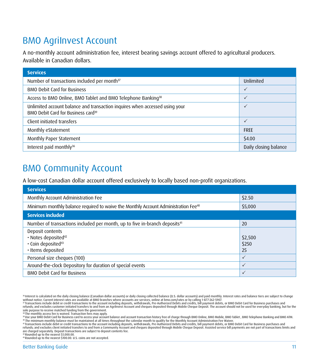## <span id="page-12-0"></span>BMO AgriInvest Account

A no-monthly account administration fee, interest bearing savings account offered to agricultural producers. Available in Canadian dollars.

| <b>Services</b>                                                                                                               |                       |
|-------------------------------------------------------------------------------------------------------------------------------|-----------------------|
| Number of transactions included per month <sup>37</sup>                                                                       | Unlimited             |
| <b>BMO Debit Card for Business</b>                                                                                            | $\checkmark$          |
| Access to BMO Online, BMO Tablet and BMO Telephone Banking <sup>38</sup>                                                      |                       |
| Unlimited account balance and transaction inquires when accessed using your<br>BMO Debit Card for Business card <sup>39</sup> | $\checkmark$          |
| Client initiated transfers                                                                                                    | $\checkmark$          |
| Monthly eStatement                                                                                                            | <b>FREE</b>           |
| Monthly Paper Statement                                                                                                       | \$4.00                |
| Interest paid monthly <sup>36</sup>                                                                                           | Daily closing balance |

### BMO Community Account

A low-cost Canadian dollar account offered exclusively to locally based non-profit organizations.

| <b>Services</b>                                                                                |              |
|------------------------------------------------------------------------------------------------|--------------|
| Monthly Account Administration Fee                                                             | \$2.50       |
| Minimum monthly balance required to waive the Monthly Account Administration Fee <sup>40</sup> | \$5,000      |
| <b>Services included</b>                                                                       |              |
| Number of transactions included per month, up to five in-branch deposits <sup>41</sup>         | 20           |
| Deposit contents                                                                               |              |
| · Notes deposited <sup>42</sup>                                                                | \$2,500      |
| · Coin deposited <sup>43</sup>                                                                 | \$250        |
| · Items deposited                                                                              | 25           |
| Personal size cheques (100)                                                                    | $\checkmark$ |
| Around-the-clock Depository for duration of special events                                     | $\checkmark$ |
| <b>BMO Debit Card for Business</b>                                                             | $\checkmark$ |

<span id="page-12-5"></span><sup>&</sup>lt;sup>36</sup> Interest is calculated on the daily closing balance (Canadian dollar accounts) or daily closing collected balance (U.S. dollar accounts) and paid monthly. Interest rates and balance tiers are subject to change<br>without

<span id="page-12-3"></span>sole purpose to receive matched funding from the government. 38 The monthly access fee is waived. Transaction fees may apply.

<span id="page-12-8"></span><span id="page-12-7"></span>43 Rounded up to the nearest \$100.00. U.S. coins are not accepted.

<span id="page-12-2"></span><sup>37</sup> Transactions include debit or credit transactions to the account including deposits, withdrawals, Pre-Auth[orized Debits an](https://www.bmo.com/home/personal/banking/rates/rates-at-bmo)d credits, bill payment debits, or BMO Debit Card for Business purchases and refunds; and excludes customer initiated transfers to and from an Agrilnvest Account and cheques deposited through Mobile Cheque Deposit. The account should not be used for everyday banking, but for the

<span id="page-12-4"></span><span id="page-12-1"></span><sup>»</sup>Use your BMO Debit Card for Business card to access your account balance and account transaction history free of charge through BMO Online, BMO Mobile, BMO Tablet , BMO Telephone Banking and BMO ATM.<br>« The minimum monthl

<span id="page-12-6"></span>refunds; and excludes client initiated transfers to and from a Community Account and cheques deposited through Mobile Cheque Deposit. Assisted service bill payments are not part of transactions limits and are charged separately. Deposit transactions are subject to deposit contents fee. 42 Rounded up to the nearest \$1,000.00.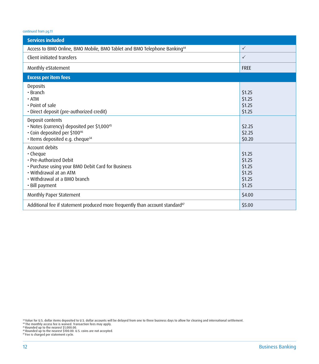| <b>Services included</b>                                                                                                                                                                    |                                                          |
|---------------------------------------------------------------------------------------------------------------------------------------------------------------------------------------------|----------------------------------------------------------|
| Access to BMO Online, BMO Mobile, BMO Tablet and BMO Telephone Banking <sup>44</sup>                                                                                                        | $\checkmark$                                             |
| Client initiated transfers                                                                                                                                                                  | $\checkmark$                                             |
| Monthly eStatement                                                                                                                                                                          | <b>FREE</b>                                              |
| <b>Excess per item fees</b>                                                                                                                                                                 |                                                          |
| <b>Deposits</b><br>$\cdot$ Branch<br>$\cdot$ ATM<br>• Point of sale<br>· Direct deposit (pre-authorized credit)                                                                             | \$1.25<br>\$1.25<br>\$1.25<br>\$1.25                     |
| Deposit contents<br>· Notes (currency) deposited per \$1,000 <sup>45</sup><br>· Coin deposited per \$10046<br>· Items deposited e.g. cheque <sup>34</sup>                                   | \$2.25<br>\$2.25<br>\$0.20                               |
| Account debits<br>$\cdot$ Cheque<br>· Pre-Authorized Debit<br>• Purchase using your BMO Debit Card for Business<br>• Withdrawal at an ATM<br>• Withdrawal at a BMO branch<br>• Bill payment | \$1.25<br>\$1.25<br>\$1.25<br>\$1.25<br>\$1.25<br>\$1.25 |
| Monthly Paper Statement                                                                                                                                                                     | \$4.00                                                   |
| Additional fee if statement produced more frequently than account standard <sup>47</sup>                                                                                                    | \$5.00                                                   |

<span id="page-13-3"></span><span id="page-13-0"></span><sup>sa</sup>Value for U.S. dollar items deposited to U.S. dollar accounts will be delayed from one to three business days to allow for clearing and international settlement.<br>"The monthly access fee is waived. Transaction fees may

<span id="page-13-1"></span>

<span id="page-13-2"></span>

<span id="page-13-4"></span><sup>46</sup> Rounded up to the nearest \$100.00. U.S. coins are not accepted.<br>47 Fee is charged per statement cycle.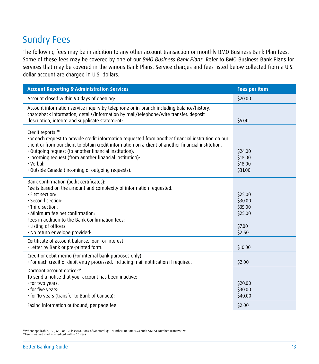## <span id="page-14-0"></span>Sundry Fees

The following fees may be in addition to any other account transaction or monthly BMO Business Bank Plan fees. Some of these fees may be covered by one of our *BMO Business Bank Plans.* Refer to BMO Business Bank Plans for services that may be covered in the various Bank Plans. Service charges and fees listed below collected from a U.S. dollar account are charged in U.S. dollars.

| <b>Account Reporting &amp; Administration Services</b>                                                                                                                                                                                                                                                                                                                                                                        | <b>Fees per item</b>                                         |
|-------------------------------------------------------------------------------------------------------------------------------------------------------------------------------------------------------------------------------------------------------------------------------------------------------------------------------------------------------------------------------------------------------------------------------|--------------------------------------------------------------|
| Account closed within 90 days of opening:                                                                                                                                                                                                                                                                                                                                                                                     | \$20.00                                                      |
| Account information service inquiry by telephone or in-branch including balance/history,<br>chargeback information, details/information by mail/telephone/wire transfer, deposit<br>description, interim and supplicate statement:                                                                                                                                                                                            | \$5.00                                                       |
| Credit reports:48<br>For each request to provide credit information requested from another financial institution on our<br>client or from our client to obtain credit information on a client of another financial institution.<br>· Outgoing request (to another financial institution):<br>. Incoming request (from another financial institution):<br>$\cdot$ Verbal:<br>· Outside Canada (incoming or outgoing requests): | \$24.00<br>\$18.00<br>\$18.00<br>\$31.00                     |
| Bank Confirmation (audit certificates):<br>Fee is based on the amount and complexity of information requested.<br>· First section:<br>· Second section:<br>· Third section:<br>· Minimum fee per confirmation:<br>Fees in addition to the Bank Confirmation fees:<br>. Listing of officers:<br>· No return envelope provided:                                                                                                 | \$25.00<br>\$30.00<br>\$35.00<br>\$25.00<br>\$7.00<br>\$2.50 |
| Certificate of account balance, loan, or interest:<br>. Letter by Bank or pre-printed form:                                                                                                                                                                                                                                                                                                                                   | \$10.00                                                      |
| Credit or debit memo (For internal bank purposes only):<br>. For each credit or debit entry processed, including mail notification if required:                                                                                                                                                                                                                                                                               | \$2.00                                                       |
| Dormant account notice:49<br>To send a notice that your account has been inactive:<br>. for two years:<br>· for five years:<br>· for 10 years (transfer to Bank of Canada):<br>Faxing information outbound, per page fee:                                                                                                                                                                                                     | \$20.00<br>\$30.00<br>\$40.00<br>\$2.00                      |
|                                                                                                                                                                                                                                                                                                                                                                                                                               |                                                              |

<span id="page-14-2"></span><span id="page-14-1"></span>48 Where applicable, QST, GST, or HST is extra. Bank of Montreal QST Number: 1000042494 and GST/HST Number: R100390095. 49 Fee is waived if acknowledged within 60 days.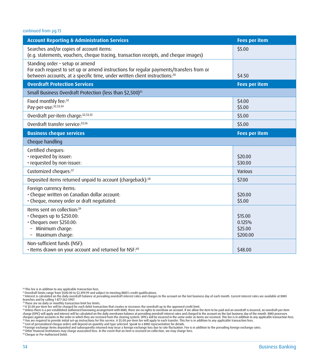| <b>Account Reporting &amp; Administration Services</b>                                                                                                                                                               | <b>Fees per item</b>                     |
|----------------------------------------------------------------------------------------------------------------------------------------------------------------------------------------------------------------------|------------------------------------------|
| Searches and/or copies of account items:<br>(e.g. statements, vouchers, cheque tracing, transaction receipts, and cheque images)                                                                                     | \$5.00                                   |
| Standing order - setup or amend<br>For each request to set up or amend instructions for regular payments/transfers from or<br>between accounts, at a specific time, under written client instructions: <sup>50</sup> | \$4.50                                   |
| <b>Overdraft Protection Services</b>                                                                                                                                                                                 | <b>Fees per item</b>                     |
| Small Business Overdraft Protection (less than \$2,500) <sup>51</sup>                                                                                                                                                |                                          |
| Fixed monthly fee: <sup>52</sup><br>Pay-per-use:52,53,54                                                                                                                                                             | \$4.00<br>\$5.00                         |
| Overdraft per-item charge: 52,53,55                                                                                                                                                                                  | \$5.00                                   |
| Overdraft transfer service: 53,56                                                                                                                                                                                    | \$5.00                                   |
| <b>Business cheque services</b>                                                                                                                                                                                      | <b>Fees per item</b>                     |
| Cheque handling                                                                                                                                                                                                      |                                          |
| Certified cheques:<br>· requested by issuer:<br>· requested by non-issuer:                                                                                                                                           | \$20.00<br>\$30.00                       |
| Customized cheques: <sup>57</sup>                                                                                                                                                                                    | Various                                  |
| Deposited items returned unpaid to account (chargeback): <sup>58</sup>                                                                                                                                               | \$7.00                                   |
| Foreign currency items:<br>· Cheque written on Canadian dollar account:<br>· Cheque, money order or draft negotiated:                                                                                                | \$20.00<br>\$5.00                        |
| Items sent on collection: <sup>59</sup><br>· Cheques up to \$250.00:<br>· Cheques over \$250.00:<br>Minimum charge:<br>Maximum charge:                                                                               | \$15.00<br>0.125%<br>\$25.00<br>\$200.00 |
| Non-sufficient funds (NSF):<br>. Items drawn on your account and returned for NSF: <sup>60</sup>                                                                                                                     | \$48.00                                  |

<span id="page-15-0"></span>

<span id="page-15-1"></span> $^\mathfrak{so}$ This fee is in addition to any applicable transaction fees.<br>§↑Overdraft limits range from \$500.00 to \$2,499.99 and subject to meeting BMO's credit qualifications.

<span id="page-15-2"></span>¤Interest is calculated on the daily overdraft balance at prevailing overdraft interest rates and charges to the account on the last business day of each month. Current interest rates are available at BMO i<br>branches and

<span id="page-15-3"></span>

<span id="page-15-4"></span>54 A \$5.00 per-item fee will be charged for each debit transaction that creates or increases the overdraft up to the approved credit limit.

<span id="page-15-5"></span><sup>ss</sup> Unless there is a pre-established authorized borrowing arrangenent with BMO, there are or ights to overdraw an account. If we allow the item to be paid and an overdraft per ilem<br>charge (OPIC) will apply and interest

<span id="page-15-8"></span><span id="page-15-7"></span><span id="page-15-6"></span>®Foreign exchange items deposited and subsequently returned may incur a foreign enschange loss due to met fluctuation. Fee is in addition to the prevailing foreign exchange rates.<br>® Other financial institutions may charge

<span id="page-15-9"></span>

<span id="page-15-10"></span>60 Cheque or Pre-Authorized Debit.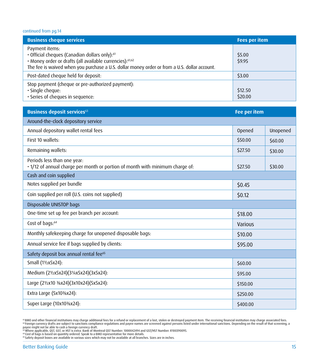| <b>Business cheque services</b>                                                                                                                                                                                                         | <b>Fees per item</b> |
|-----------------------------------------------------------------------------------------------------------------------------------------------------------------------------------------------------------------------------------------|----------------------|
| Payment items:<br>• Official cheques (Canadian dollars only): <sup>61</sup><br>· Money order or drafts (all available currencies):61,62<br>The fee is waived when you purchase a U.S. dollar money order or from a U.S. dollar account. | \$5.00<br>\$9.95     |
| Post-dated cheque held for deposit:                                                                                                                                                                                                     | \$3.00               |
| Stop payment (cheque or pre-authorized payment):<br>· Single cheque:<br>. Series of cheques in sequence:                                                                                                                                | \$12.50<br>\$20.00   |

| <b>Business deposit services</b> 63                                                                          | <b>Fee per item</b> |          |
|--------------------------------------------------------------------------------------------------------------|---------------------|----------|
| Around-the-clock depository service                                                                          |                     |          |
| Annual depository wallet rental fees                                                                         | Opened              | Unopened |
| First 10 wallets:                                                                                            | \$50.00             | \$60.00  |
| Remaining wallets:                                                                                           | \$27.50             | \$30.00  |
| Periods less than one year:<br>· 1/12 of annual charge per month or portion of month with minimum charge of: | \$27.50             | \$30.00  |
| Cash and coin supplied                                                                                       |                     |          |
| Notes supplied per bundle                                                                                    | \$0.45              |          |
| Coin supplied per roll (U.S. coins not supplied)                                                             | \$0.12              |          |
| Disposable UNISTOP bags                                                                                      |                     |          |
| One-time set up fee per branch per account:                                                                  | \$18.00             |          |
| Cost of bags: <sup>64</sup>                                                                                  | Various             |          |
| Monthly safekeeping charge for unopened disposable bags:                                                     | \$10.00             |          |
| Annual service fee if bags supplied by clients:                                                              | \$95.00             |          |
| Safety deposit box annual rental fee <sup>65</sup>                                                           |                     |          |
| Small (11/2x5x24):                                                                                           | \$60.00             |          |
| Medium (21/2x5x24)(31/4x5x24)(3x5x24):                                                                       | \$95.00             |          |
| Large (21/2x10 3/8x24)(3x10x24)(5x5x24):                                                                     | \$150.00            |          |
| Extra Large (5x10 <sup>3</sup> / <sub>8</sub> x24):                                                          | \$250.00            |          |
| Super Large (10x10 <sup>3</sup> / <sub>8</sub> x24):                                                         | \$400.00            |          |

<span id="page-16-1"></span><span id="page-16-0"></span>"BMO and other financial institutions may charge additional fees for a refund or replacement of a lost, stolen or destroyed payment item. The receiving financial institution may charge associated fees.<br>⊕Foreign currency d

<span id="page-16-2"></span>

<span id="page-16-3"></span>

<span id="page-16-4"></span>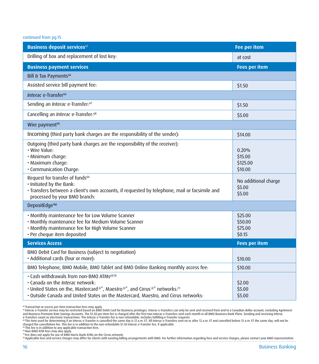| <b>Business deposit services</b> <sup>63</sup>                                                                                                                                                                                                                                                                                                                                                                                                                                                                                                                 | <b>Fee per item</b>                                                                                                  |
|----------------------------------------------------------------------------------------------------------------------------------------------------------------------------------------------------------------------------------------------------------------------------------------------------------------------------------------------------------------------------------------------------------------------------------------------------------------------------------------------------------------------------------------------------------------|----------------------------------------------------------------------------------------------------------------------|
| Drilling of box and replacement of lost key:                                                                                                                                                                                                                                                                                                                                                                                                                                                                                                                   | at cost                                                                                                              |
| <b>Business payment services</b>                                                                                                                                                                                                                                                                                                                                                                                                                                                                                                                               | <b>Fees per item</b>                                                                                                 |
| Bill & Tax Payments <sup>66</sup>                                                                                                                                                                                                                                                                                                                                                                                                                                                                                                                              |                                                                                                                      |
| Assisted service bill payment fee:                                                                                                                                                                                                                                                                                                                                                                                                                                                                                                                             | \$1.50                                                                                                               |
| Interac e-Transfer <sup>66</sup>                                                                                                                                                                                                                                                                                                                                                                                                                                                                                                                               |                                                                                                                      |
| Sending an Interac e-Transfer: <sup>67</sup>                                                                                                                                                                                                                                                                                                                                                                                                                                                                                                                   | \$1.50                                                                                                               |
| Cancelling an Interac e-Transfer: <sup>68</sup>                                                                                                                                                                                                                                                                                                                                                                                                                                                                                                                | \$5.00                                                                                                               |
| Wire payment <sup>90</sup>                                                                                                                                                                                                                                                                                                                                                                                                                                                                                                                                     |                                                                                                                      |
| Incoming (third party bank charges are the responsibility of the sender):                                                                                                                                                                                                                                                                                                                                                                                                                                                                                      | \$14.00                                                                                                              |
| Outgoing (third party bank charges are the responsibility of the receiver):<br>· Wire Value:<br>· Minimum charge:<br>· Maximum charge:<br>· Communication Charge:<br>Request for transfer of funds <sup>66</sup><br>. Initiated by the Bank:<br>· Transfers between a client's own accounts, if requested by telephone, mail or facsimile and<br>processed by your BMO branch:<br>DepositEdge™<br>. Monthly maintenance fee for Low Volume Scanner<br>. Monthly maintenance fee for Medium Volume Scanner<br>. Monthly maintenance fee for High Volume Scanner | 0.20%<br>\$15.00<br>\$125.00<br>\$10.00<br>No additional charge<br>\$5.00<br>\$5.00<br>\$25.00<br>\$50.00<br>\$75.00 |
| · Per cheque item deposited<br><b>Services Access</b>                                                                                                                                                                                                                                                                                                                                                                                                                                                                                                          | \$0.15                                                                                                               |
|                                                                                                                                                                                                                                                                                                                                                                                                                                                                                                                                                                | <b>Fees per item</b>                                                                                                 |
| BMO Debit Card for Business (subject to negotiation)<br>· Additional cards (four or more):                                                                                                                                                                                                                                                                                                                                                                                                                                                                     | \$10.00                                                                                                              |
| BMO Telephone, BMO Mobile, BMO Tablet and BMO Online Banking monthly access fee:                                                                                                                                                                                                                                                                                                                                                                                                                                                                               | \$10.00                                                                                                              |
| · Cash withdrawals from non-BMO ATMs <sup>69,70</sup><br>. Canada on the Interac network:<br>• United States on the, Mastercard®*, Maestro®*, and Cirrus®* networks:71<br>. Outside Canada and United States on the Mastercard, Maestro, and Cirrus networks:                                                                                                                                                                                                                                                                                                  | \$2.00<br>\$5.00<br>\$5.00                                                                                           |

<span id="page-17-0"></span>

<span id="page-17-1"></span>" Transaction or excess per-item transaction fees may apply.<br>" Interact e-Transfer service may be restricted based on BMO. Debit Card for Business privileges. Interace-Transfers can only be sent and received from and to

<span id="page-17-2"></span>

<span id="page-17-5"></span><span id="page-17-4"></span>

<span id="page-17-6"></span>

<span id="page-17-3"></span>™Fee does not apply for use of BMO Harris Bank ATMs on the Cirrus network.<br>® Applicable fees and service charges may differ for clients with existing billing arrangements with BMO. For further information regarding fees a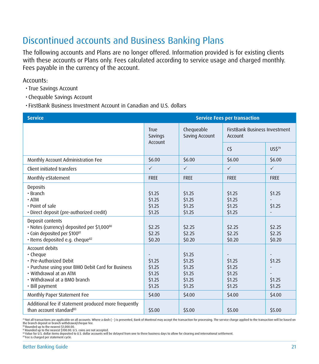## <span id="page-22-0"></span>Discontinued accounts and Business Banking Plans

The following accounts and Plans are no longer offered. Information provided is for existing clients with these accounts or Plans only. Fees calculated according to service usage and charged monthly. Fees payable in the currency of the account.

Accounts:

- True Savings Account
- Chequable Savings Account

• FirstBank Business Investment Account in Canadian and U.S. dollars

| <b>Service</b>                                                                                                                                                                        | <b>Service Fees per transaction</b>                        |                                                          |                                                 |                            |
|---------------------------------------------------------------------------------------------------------------------------------------------------------------------------------------|------------------------------------------------------------|----------------------------------------------------------|-------------------------------------------------|----------------------------|
|                                                                                                                                                                                       | Chequeable<br>True<br>Saving Account<br>Savings<br>Account |                                                          | <b>FirstBank Business Investment</b><br>Account |                            |
|                                                                                                                                                                                       |                                                            |                                                          | $\mathsf{C}\mathsf{S}$                          | US\$79                     |
| Monthly Account Administration Fee                                                                                                                                                    | \$6.00                                                     | \$6.00                                                   | \$6.00                                          | \$6.00                     |
| Client initiated transfers                                                                                                                                                            | $\checkmark$                                               | $\checkmark$                                             | $\checkmark$                                    | $\checkmark$               |
| Monthly eStatement                                                                                                                                                                    | <b>FREE</b>                                                | <b>FREE</b>                                              | <b>FREE</b>                                     | <b>FREE</b>                |
| <b>Deposits</b><br>$\cdot$ Branch<br>$\cdot$ ATM<br>. Point of sale<br>· Direct deposit (pre-authorized credit)                                                                       | \$1.25<br>\$1.25<br>\$1.25<br>\$1.25                       | \$1.25<br>\$1.25<br>\$1.25<br>\$1.25                     | \$1.25<br>\$1.25<br>\$1.25<br>\$1.25            | \$1.25<br>\$1.25           |
| Deposit contents<br>· Notes (currency) deposited per \$1,000 <sup>80</sup><br>· Coin deposited per \$10081<br>· Items deposited e.g. cheque <sup>82</sup>                             | \$2.25<br>\$2.25<br>\$0.20                                 | \$2.25<br>\$2.25<br>\$0.20                               | \$2.25<br>\$2.25<br>\$0.20                      | \$2.25<br>\$2.25<br>\$0.20 |
| Account debits<br>· Cheque<br>· Pre-Authorized Debit<br>• Purchase using your BMO Debit Card for Business<br>• Withdrawal at an ATM<br>• Withdrawal at a BMO branch<br>· Bill payment | \$1.25<br>\$1.25<br>\$1.25<br>\$1.25<br>\$1.25             | \$1.25<br>\$1.25<br>\$1.25<br>\$1.25<br>\$1.25<br>\$1.25 | \$1.25<br>\$1.25<br>\$1.25<br>\$1.25<br>\$1.25  | \$1.25<br>\$1.25<br>\$1.25 |
| Monthly Paper Statement Fee                                                                                                                                                           | \$4.00                                                     | \$4.00                                                   | \$4.00                                          | \$4.00                     |
| Additional fee if statement produced more frequently<br>than account standard <sup>83</sup>                                                                                           | \$5.00                                                     | \$5.00                                                   | \$5.00                                          | \$5.00                     |

<span id="page-22-1"></span>™ Not all transactions are applicable on all accounts. Where a dash ( - ) is presented, Bank of Montreal may accept the transaction for processing. The service charge applied to the transaction will be based on<br>the branch

<span id="page-22-2"></span>80 Rounded up to the nearest \$1,000.00.<br>81 Rounded up to the nearest \$100.00. U.S. coins are not accepted.

<span id="page-22-3"></span>

<span id="page-22-4"></span>82 Value for U.S. dollar items deposited to U.S. dollar accounts will be delayed from one to three business days to allow for clearing and international settlement.

<span id="page-22-5"></span>83 Fee is charged per statement cycle.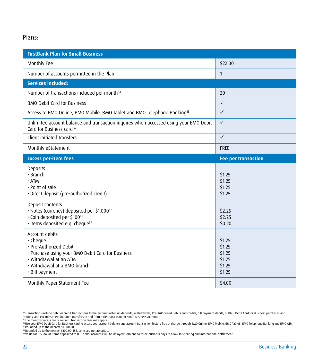#### Plans:

| <b>FirstBank Plan for Small Business</b>                                                                                                                                              |                                                          |
|---------------------------------------------------------------------------------------------------------------------------------------------------------------------------------------|----------------------------------------------------------|
| Monthly Fee                                                                                                                                                                           | \$22.00                                                  |
| Number of accounts permitted in the Plan                                                                                                                                              | $\mathbf{1}$                                             |
| <b>Services included:</b>                                                                                                                                                             |                                                          |
| Number of transactions included per month <sup>84</sup>                                                                                                                               | 20                                                       |
| <b>BMO Debit Card for Business</b>                                                                                                                                                    | $\checkmark$                                             |
| Access to BMO Online, BMO Mobile, BMO Tablet and BMO Telephone Banking <sup>85</sup>                                                                                                  | $\checkmark$                                             |
| Unlimited account balance and transaction inquires when accessed using your BMO Debit<br>Card for Business card <sup>86</sup>                                                         | $\checkmark$                                             |
| Client initiated transfers                                                                                                                                                            | $\checkmark$                                             |
| Monthly eStatement                                                                                                                                                                    | <b>FREE</b>                                              |
| <b>Excess per-item fees</b>                                                                                                                                                           | <b>Fee per transaction</b>                               |
| <b>Deposits</b><br>$\cdot$ Branch<br>$\cdot$ ATM<br>. Point of sale<br>· Direct deposit (pre-authorized credit)                                                                       | \$1.25<br>\$1.25<br>\$1.25<br>\$1.25                     |
| Deposit contents<br>· Notes (currency) deposited per \$1,00087<br>· Coin deposited per \$10088<br>· Items deposited e.g. cheque <sup>89</sup>                                         | \$2.25<br>\$2.25<br>\$0.20                               |
| Account debits<br>· Cheque<br>· Pre-Authorized Debit<br>• Purchase using your BMO Debit Card for Business<br>• Withdrawal at an ATM<br>• Withdrawal at a BMO branch<br>· Bill payment | \$1.25<br>\$1.25<br>\$1.25<br>\$1.25<br>\$1.25<br>\$1.25 |
| Monthly Paper Statement Fee                                                                                                                                                           | \$4.00                                                   |

<span id="page-23-4"></span><span id="page-23-3"></span><span id="page-23-2"></span>

<span id="page-23-5"></span>

<span id="page-23-0"></span>

<span id="page-23-1"></span><sup>&</sup>lt;sup>84</sup> Transactions include debit or credit transactions to the account including deposits, withdrawals, Pre-Authorized Debits and credits, bill payment debits, or BMO Debit Card for Business purchases and<br><sup>86</sup> The monthly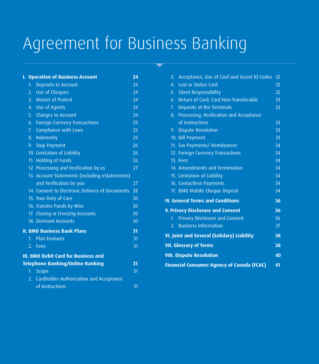## <span id="page-24-0"></span>Agreement for Business Banking

| ı.                                          |                | <b>Operation of Business Account</b>            | 24              |
|---------------------------------------------|----------------|-------------------------------------------------|-----------------|
|                                             | 1 <sup>1</sup> | Deposits to Account                             | $\overline{24}$ |
|                                             | $2^{\circ}$    | Use of Cheques                                  | 24              |
|                                             | 3.             | <b>Waiver of Protest</b>                        | 24              |
|                                             |                | 4. Use of Agents                                | 24              |
|                                             |                | 5. Charges to Account                           | 24              |
|                                             |                | 6. Foreign Currency Transactions                | 25              |
|                                             |                | 7. Compliance with Laws                         | 25              |
|                                             |                | 8. Indemnity                                    | 25              |
|                                             |                | 9. Stop Payment                                 | 26              |
|                                             |                | 10. Limitation of Liability                     | 26              |
|                                             |                | 11. Holding of Funds                            | 26              |
|                                             |                | 12. Processing and Verification by us           | 27              |
|                                             |                | 13. Account Statements (including eStatements)  |                 |
|                                             |                | and Verification by you                         | 27              |
|                                             |                | 14. Consent to Electronic Delivery of Documents | 28              |
|                                             |                | 15. Your Duty of Care                           | 30              |
|                                             |                | 16. Transfer Funds by Wire                      | 30              |
|                                             |                | 17. Closing or Freezing Accounts                | 30              |
|                                             |                | 18. Dormant Accounts                            | 30              |
|                                             |                | <b>II. BMO Business Bank Plans</b>              | 31              |
|                                             |                | 1. Plan Features                                | 31              |
|                                             |                | 2. Fees                                         | 31              |
| <b>III. BMO Debit Card for Business and</b> |                |                                                 |                 |
|                                             |                | <b>Telephone Banking/Online Banking</b>         | 31              |
|                                             | 1 <sub>1</sub> | Scope                                           | 31              |
|                                             | 2.             | Cardholder Authorization and Acceptance         |                 |
|                                             |                | of Instructions                                 | 31              |

| Acceptance, Use of Card and Secret ID Codes<br>3. | 32 |
|---------------------------------------------------|----|
| Lost or Stolen Card<br>$\overline{4}$ .           | 32 |
| <b>Client Responsibility</b><br>5.                | 32 |
| 6. Return of Card; Card Non-Transferable          | 33 |
| Deposits at the Terminals<br>7.                   | 33 |
| 8. Processing, Verification and Acceptance        |    |
| of Instructions                                   | 33 |
| <b>Dispute Resolution</b><br>9 <sub>1</sub>       | 33 |
| 10. Bill Payment                                  | 33 |
| 11. Tax Payments/Remittances                      | 34 |
| 12. Foreign Currency Transactions                 | 34 |
| 13. Fees                                          | 34 |
| 14. Amendments and Termination                    | 34 |
| 15. Limitation of Liability                       | 34 |
| 16. Contactless Payments                          | 34 |
| 17. BMO Mobile Cheque Deposit                     | 34 |
| <b>IV. General Terms and Conditions</b>           | 36 |
| V. Privacy Disclosure and Consent                 | 36 |
| 1. Privacy Disclosure and Consent                 | 36 |
| <b>Business Information</b><br>2.                 | 37 |
| VI. Joint and Several (Solidary) Liability        |    |
| <b>VII. Glossary of Terms</b>                     |    |
| <b>VIII. Dispute Resolution</b>                   |    |
| <b>Financial Consumer Agency of Canada (FCAC)</b> |    |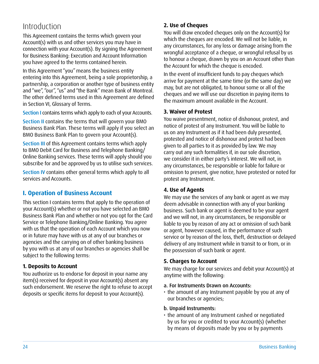### <span id="page-25-0"></span>Introduction

This Agreement contains the terms which govern your Account(s) with us and other services you may have in connection with your Account(s). By signing the Agreement for Business Banking: Execution and Account Information you have agreed to the terms contained herein.

In this Agreement "you" means the business entity entering into this Agreement, being a sole proprietorship, a partnership, a corporation or another type of business entity and "we", "our", "us" and "the Bank" mean Bank of Montreal. The other defined terms used in this Agreement are defined in Section VI, Glossary of Terms.

Section I contains terms which apply to each of your Accounts.

Section II contains the terms that will govern your BMO Business Bank Plan. These terms will apply if you select an BMO Business Bank Plan to govern your Account(s).

Section III of this Agreement contains terms which apply to BMO Debit Card for Business and Telephone Banking/ Online Banking services. These terms will apply should you subscribe for and be approved by us to utilise such services.

Section IV contains other general terms which apply to all services and Accounts.

#### **I. Operation of Business Account**

This section I contains terms that apply to the operation of your Account(s) whether or not you have selected an BMO Business Bank Plan and whether or not you opt for the Card Service or Telephone Banking/Online Banking. You agree with us that the operation of each Account which you now or in future may have with us at any of our branches or agencies and the carrying on of other banking business by you with us at any of our branches or agencies shall be subject to the following terms:

#### **1. Deposits to Account**

You authorize us to endorse for deposit in your name any item(s) received for deposit in your Account(s) absent any such endorsement. We reserve the right to refuse to accept deposits or specific items for deposit to your Account(s).

#### **2. Use of Cheques**

You will draw encoded cheques only on the Account(s) for which the cheques are encoded. We will not be liable, in any circumstances, for any loss or damage arising from the wrongful acceptance of a cheque, or wrongful refusal by us to honour a cheque, drawn by you on an Account other than the Account for which the cheque is encoded.

In the event of insufficient funds to pay cheques which arrive for payment at the same time (or the same day) we may, but are not obligated, to honour some or all of the cheques and we will use our discretion in paying items to the maximum amount available in the Account.

#### **3. Waiver of Protest**

You waive presentment, notice of dishonour, protest, and notice of protest of any Instrument. You will be liable to us on any Instrument as if it had been duly presented, protested and notice of dishonour and protest had been given to all parties to it as provided by law. We may carry out any such formalities if, in our sole discretion, we consider it in either party's interest. We will not, in any circumstances, be responsible or liable for failure or omission to present, give notice, have protested or noted for protest any Instrument.

#### **4. Use of Agents**

We may use the services of any bank or agent as we may deem advisable in connection with any of your banking business. Such bank or agent is deemed to be your agent and we will not, in any circumstances, be responsible or liable to you by reason of any act or omission of such bank or agent, however caused, in the performance of such service or by reason of the loss, theft, destruction or delayed delivery of any Instrument while in transit to or from, or in the possession of such bank or agent.

#### **5. Charges to Account**

We may charge for our services and debit your Account(s) at anytime with the following:

- a. For Instruments Drawn on Accounts:
- the amount of any Instrument payable by you at any of our branches or agencies;
- b. Unpaid Instruments:
- the amount of any Instrument cashed or negotiated by us for you or credited to your Account(s) (whether by means of deposits made by you or by payments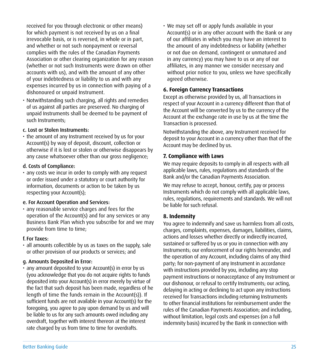<span id="page-26-0"></span>received for you through electronic or other means) for which payment is not received by us on a final irrevocable basis, or is reversed, in whole or in part, and whether or not such nonpayment or reversal complies with the rules of the Canadian Payments Association or other clearing organization for any reason (whether or not such Instruments were drawn on other accounts with us), and with the amount of any other of your indebtedness or liability to us and with any expenses incurred by us in connection with paying of a dishonoured or unpaid Instrument.

• Notwithstanding such charging, all rights and remedies of us against all parties are preserved. No charging of unpaid Instruments shall be deemed to be payment of such Instruments;

#### c. Lost or Stolen Instruments:

• the amount of any Instrument received by us for your Account(s) by way of deposit, discount, collection or otherwise if it is lost or stolen or otherwise disappears by any cause whatsoever other than our gross negligence;

#### d. Costs of Compliance:

• any costs we incur in order to comply with any request or order issued under a statutory or court authority for information, documents or action to be taken by us respecting your Account(s);

#### e. For Account Operation and Services:

• any reasonable service charges and fees for the operation of the Account(s) and for any services or any Business Bank Plan which you subscribe for and we may provide from time to time;

#### f. For Taxes:

• all amounts collectible by us as taxes on the supply, sale or other provision of our products or services; and

#### g. Amounts Deposited in Error:

• any amount deposited to your Account(s) in error by us (you acknowledge that you do not acquire rights to funds deposited into your Account(s) in error merely by virtue of the fact that such deposit has been made, regardless of he length of time the funds remain in the Account(s)). If sufficient funds are not available in your Account(s) for the foregoing, you agree to pay upon demand by us and will be liable to us for any such amounts owed including any overdraft, together with interest thereon at the interest rate charged by us from time to time for overdrafts.

• We may set off or apply funds available in your Account(s) or in any other account with the Bank or any of our affiliates in which you may have an interest to the amount of any indebtedness or liability (whether or not due on demand, contingent or unmatured and in any currency) you may have to us or any of our affiliates, in any manner we consider necessary and without prior notice to you, unless we have specifically agreed otherwise.

#### **6. Foreign Currency Transactions**

Except as otherwise provided by us, all Transactions in respect of your Account in a currency different than that of the Account will be converted by us to the currency of the Account at the exchange rate in use by us at the time the Transaction is processed.

Notwithstanding the above, any Instrument received for deposit to your Account in a currency other than that of the Account may be declined by us.

#### **7. Compliance with Laws**

We may require deposits to comply in all respects with all applicable laws, rules, regulations and standards of the Bank and/or the Canadian Payments Association.

We may refuse to accept, honour, certify, pay or process Instruments which do not comply with all applicable laws, rules, regulations, requirements and standards. We will not be liable for such refusal.

#### **8. Indemnity**

You agree to indemnify and save us harmless from all costs, charges, complaints, expenses, damages, liabilities, claims, actions and losses whether directly or indirectly incurred, sustained or suffered by us or you in connection with any Instruments; our enforcement of our rights hereunder, and the operation of any Account, including claims of any third party; for non-payment of any Instrument in accordance with instructions provided by you, including any stop payment instructions or nonacceptance of any Instrument or our dishonour, or refusal to certify Instruments; our acting, delaying in acting or declining to act upon any instructions received for Transactions including returning Instruments to other financial institutions for reimbursement under the rules of the Canadian Payments Association; and including, without limitation, legal costs and expenses (on a full indemnity basis) incurred by the Bank in connection with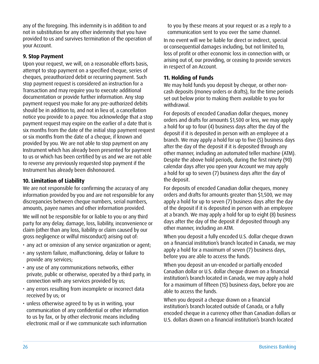<span id="page-27-0"></span>any of the foregoing. This indemnity is in addition to and not in substitution for any other indemnity that you have provided to us and survives termination of the operation of your Account.

#### **9. Stop Payment**

Upon your request, we will, on a reasonable efforts basis, attempt to stop payment on a specified cheque, series of cheques, preauthorized debit or recurring payment. Such stop payment request is considered an instruction for a Transaction and may require you to execute additional documentation or provide further information. Any stop payment request you make for any pre-authorized debits should be in addition to, and not in lieu of, a cancellation notice you provide to a payee. You acknowledge that a stop payment request may expire on the earlier of a date that is six months from the date of the initial stop payment request or six months from the date of a cheque, if known and provided by you. We are not able to stop payment on any Instrument which has already been presented for payment to us or which has been certified by us and we are not able to reverse any previously requested stop payment if the Instrument has already been dishonoured.

#### **10. Limitation of Liability**

We are not responsible for confirming the accuracy of any information provided by you and are not responsible for any discrepancies between cheque numbers, serial numbers, amounts, payee names and other information provided.

We will not be responsible for or liable to you or any third party for any delay, damage, loss, liability, inconvenience or claim (other than any loss, liability or claim caused by our gross negligence or wilful misconduct) arising out of:

- any act or omission of any service organization or agent;
- any system failure, malfunctioning, delay or failure to provide any services;
- any use of any communications networks, either private, public or otherwise, operated by a third party, in connection with any services provided by us;
- any errors resulting from incomplete or incorrect data received by us; or
- unless otherwise agreed to by us in writing, your communication of any confidential or other information to us by fax, or by other electronic means including electronic mail or if we communicate such information

to you by these means at your request or as a reply to a communication sent to you over the same channel.

In no event will we be liable for direct or indirect, special or consequential damages including, but not limited to, loss of profit or other economic loss in connection with, or arising out of, our providing, or ceasing to provide services in respect of an Account.

#### **11. Holding of Funds**

We may hold funds you deposit by cheque, or other noncash deposits (money orders or drafts), for the time periods set out below prior to making them available to you for withdrawal.

For deposits of encoded Canadian dollar cheques, money orders and drafts for amounts \$1,500 or less, we may apply a hold for up to four (4) business days after the day of the deposit if it is deposited in person with an employee at a branch. We may apply a hold for up to five (5) business days after the day of the deposit if it is deposited through any other manner, including an automated teller machine (ATM). Despite the above hold periods, during the first ninety (90) calendar days after you open your Account we may apply a hold for up to seven (7) business days after the day of the deposit.

For deposits of encoded Canadian dollar cheques, money orders and drafts for amounts greater than \$1,500, we may apply a hold for up to seven (7) business days after the day of the deposit if it is deposited in person with an employee at a branch. We may apply a hold for up to eight (8) business days after the day of the deposit if deposited through any other manner, including an ATM.

When you deposit a fully encoded U.S. dollar cheque drawn on a financial institution's branch located in Canada, we may apply a hold for a maximum of seven (7) business days, before you are able to access the funds.

When you deposit an un-encoded or partially encoded Canadian dollar or U.S. dollar cheque drawn on a financial institution's branch located in Canada, we may apply a hold for a maximum of fifteen (15) business days, before you are able to access the funds.

When you deposit a cheque drawn on a financial institution's branch located outside of Canada, or a fully encoded cheque in a currency other than Canadian dollars or U.S. dollars drawn on a financial institution's branch located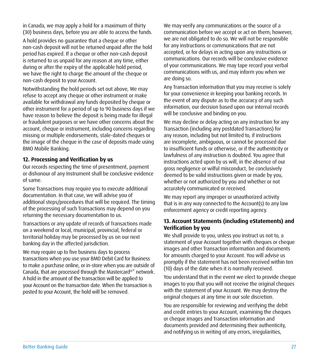<span id="page-28-0"></span>in Canada, we may apply a hold for a maximum of thirty (30) business days, before you are able to access the funds.

A hold provides no guarantee that a cheque or other non-cash deposit will not be returned unpaid after the hold period has expired. If a cheque or other non-cash deposit is returned to us unpaid for any reason at any time, either during or after the expiry of the applicable hold period, we have the right to charge the amount of the cheque or non-cash deposit to your Account.

Notwithstanding the hold periods set out above, We may refuse to accept any cheque or other instrument or make available for withdrawal any funds deposited by cheque or other instrument for a period of up to 90 business days if we have reason to believe the deposit is being made for illegal or fraudulent purposes or we have other concerns about the account, cheque or instrument, including concerns regarding missing or multiple endorsements, stale-dated cheques or the image of the cheque in the case of deposits made using BMO Mobile Banking.

#### **12. Processing and Verification by us**

Our records respecting the time of presentment, payment or dishonour of any Instrument shall be conclusive evidence of same.

Some Transactions may require you to execute additional documentation. In that case, we will advise you of additional steps/procedures that will be required. The timing of the processing of such Transactions may depend on you returning the necessary documentation to us.

Transactions or any update of records of Transactions made on a weekend or local, municipal, provincial, federal or territorial holiday may be processed by us on our next banking day in the affected jurisdiction.

We may require up to five business days to process transactions when you use your BMO Debit Card for Business to make a purchase online, or in-store when you are outside of Canada, that are processed through the Mastercard®\* network. A hold in the amount of the transaction will be applied to your Account on the transaction date. When the transaction is posted to your Account, the hold will be removed.

We may verify any communications or the source of a communication before we accept or act on them; however, we are not obligated to do so. We will not be responsible for any instructions or communications that are not accepted, or for delays in acting upon any instructions or communications. Our records will be conclusive evidence of your communications. We may tape record your verbal communications with us, and may inform you when we are doing so.

Any Transaction information that you may receive is solely for your convenience in keeping your banking records. In the event of any dispute as to the accuracy of any such information, our decision based upon our internal records will be conclusive and binding on you.

We may decline or delay acting on any instruction for any Transaction (including any postdated Transactions) for any reason, including but not limited to, if instructions are incomplete, ambiguous, or cannot be processed due to insufficient funds or otherwise, or if the authenticity or lawfulness of any instruction is doubted. You agree that instructions acted upon by us will, in the absence of our gross negligence or wilful misconduct, be conclusively deemed to be valid instructions given or made by you, whether or not authorized by you and whether or not accurately communicated or received.

We may report any improper or unauthorized activity that is in any way connected to the Account(s) to any law enforcement agency or credit reporting agency.

#### **13. Account Statements (including eStatements) and Verification by you**

We shall provide to you, unless you instruct us not to, a statement of your Account together with cheques or cheque images and other Transaction information and documents for amounts charged to your Account. You will advise us promptly if the statement has not been received within ten (10) days of the date when it is normally received.

You understand that in the event we elect to provide cheque images to you that you will not receive the original cheques with the statement of your Account. We may destroy the original cheques at any time in our sole discretion.

You are responsible for reviewing and verifying the debit and credit entries to your Account, examining the cheques or cheque images and Transaction information and documents provided and determining their authenticity, and notifying us in writing of any errors, irregularities,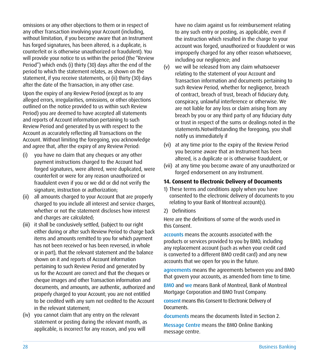<span id="page-29-0"></span>omissions or any other objections to them or in respect of any other Transaction involving your Account (including, without limitation, if you become aware that an Instrument has forged signatures, has been altered, is a duplicate, is counterfeit or is otherwise unauthorized or fraudulent). You will provide your notice to us within the period (the "Review Period") which ends (i) thirty (30) days after the end of the period to which the statement relates, as shown on the statement, if you receive statements, or (ii) thirty (30) days after the date of the Transaction, in any other case.

Upon the expiry of any Review Period (except as to any alleged errors, irregularities, omissions, or other objections outlined on the notice provided to us within such Review Period) you are deemed to have accepted all statements and reports of Account information pertaining to such Review Period and generated by us with respect to the Account as accurately reflecting all Transactions on the Account. Without limiting the foregoing, you acknowledge and agree that, after the expiry of any Review Period:

- (i) you have no claim that any cheques or any other payment instructions charged to the Account had forged signatures, were altered, were duplicated, were counterfeit or were for any reason unauthorized or fraudulent even if you or we did or did not verify the signature, instruction or authorization;
- (ii) all amounts charged to your Account that are properly charged to you include all interest and service charges, whether or not the statement discloses how interest and charges are calculated;
- (iii) it shall be conclusively settled, (subject to our right either during or after such Review Period to charge back items and amounts remitted to you for which payment has not been received or has been reversed, in whole or in part), that the relevant statement and the balance shown on it and reports of Account information pertaining to such Review Period and generated by us for the Account are correct and that the cheques or cheque images and other Transaction information and documents, and amounts, are authentic, authorized and properly charged to your Account; you are not entitled to be credited with any sum not credited to the Account in the relevant statement;
- (iv) you cannot claim that any entry on the relevant statement or posting during the relevant month, as applicable, is incorrect for any reason, and you will

have no claim against us for reimbursement relating to any such entry or posting, as applicable, even if the instruction which resulted in the charge to your account was forged, unauthorized or fraudulent or was improperly charged for any other reason whatsoever, including our negligence; and

- (v) we will be released from any claim whatsoever relating to the statement of your Account and Transaction information and documents pertaining to such Review Period, whether for negligence, breach of contract, breach of trust, breach of fiduciary duty, conspiracy, unlawful interference or otherwise. We are not liable for any loss or claim arising from any breach by you or any third party of any fiduciary duty or trust in respect of the sums or dealings noted in the statements.Notwithstanding the foregoing, you shall notify us immediately if
- (vi) at any time prior to the expiry of the Review Period you become aware that an Instrument has been altered, is a duplicate or is otherwise fraudulent, or
- (vii) at any time you become aware of any unauthorized or forged endorsement on any Instrument.

#### **14. Consent to Electronic Delivery of Documents**

- 1) These terms and conditions apply when you have consented to the electronic delivery of documents to you relating to your Bank of Montreal account(s).
- 2) Definitions

Here are the definitions of some of the words used in this Consent.

accounts means the accounts associated with the products or services provided to you by BMO, including any replacement account (such as when your credit card is converted to a different BMO credit card) and any new accounts that we open for you in the future.

agreements means the agreements between you and BMO that govern your accounts, as amended from time to time.

BMO and we means Bank of Montreal, Bank of Montreal Mortgage Corporation and BMO Trust Company.

consent means this Consent to Electronic Delivery of Documents.

documents means the documents listed in Section 2.

Message Centre means the BMO Online Banking message centre.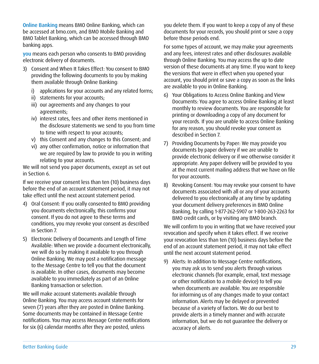Online Banking means BMO Online Banking, which can be accessed at [bmo.com,](https://www.bmo.com/main/personal) and BMO Mobile Banking and BMO Tablet Banking, which can be accessed through BMO banking apps.

you means each person who consents to BMO providing electronic delivery of documents.

- 3) Consent and When It Takes Effect: You consent to BMO providing the following documents to you by making them available through Online Banking:
	- i) applications for your accounts and any related forms;
	- ii) statements for your accounts;
	- iii) our agreements and any changes to your agreements;
	- iv) interest rates, fees and other items mentioned in the disclosure statements we send to you from time to time with respect to your accounts;
	- v) this Consent and any changes to this Consent; and
	- vi) any other confirmation, notice or information that we are required by law to provide to you in writing relating to your accounts.

We will not send you paper documents, except as set out in Section 6.

If we receive your consent less than ten (10) business days before the end of an account statement period, it may not take effect until the next account statement period.

- 4) Oral Consent: If you orally consented to BMO providing you documents electronically, this confirms your consent. If you do not agree to these terms and conditions, you may revoke your consent as described in Section 7.
- 5) Electronic Delivery of Documents and Length of Time Available: When we provide a document electronically, we will do so by making it available to you through Online Banking. We may post a notification message to the Message Centre to tell you that the document is available. In other cases, documents may become available to you immediately as part of an Online Banking transaction or selection.

We will make account statements available through Online Banking. You may access account statements for seven (7) years after they are posted in Online Banking. Some documents may be contained in Message Centre notifications. You may access Message Centre notifications for six (6) calendar months after they are posted, unless

you delete them. If you want to keep a copy of any of these documents for your records, you should print or save a copy before those periods end.

For some types of account, we may make your agreements and any fees, interest rates and other disclosures available through Online Banking. You may access the up to date version of these documents at any time. If you want to keep the versions that were in effect when you opened your account, you should print or save a copy as soon as the links are available to you in Online Banking.

- 6) Your Obligations to Access Online Banking and View Documents: You agree to access Online Banking at least monthly to review documents. You are responsible for printing or downloading a copy of any document for your records. If you are unable to access Online Banking for any reason, you should revoke your consent as described in Section 7.
- 7) Providing Documents by Paper: We may provide you documents by paper delivery if we are unable to provide electronic delivery or if we otherwise consider it appropriate. Any paper delivery will be provided to you at the most current mailing address that we have on file for your accounts.
- 8) Revoking Consent: You may revoke your consent to have documents associated with all or any of your accounts delivered to you electronically at any time by updating your document delivery preferences in BMO Online Banking, by calling 1-877-262-5907 or 1-800-263-2263 for BMO credit cards, or by visiting any BMO branch.

We will confirm to you in writing that we have received your revocation and specify when it takes effect. If we receive your revocation less than ten (10) business days before the end of an account statement period, it may not take effect until the next account statement period.

9) Alerts: In addition to Message Centre notifications, you may ask us to send you alerts through various electronic channels (for example, email, text message or other notification to a mobile device) to tell you when documents are available. You are responsible for informing us of any changes made to your contact information. Alerts may be delayed or prevented because of a variety of factors. We do our best to provide alerts in a timely manner and with accurate information, but we do not guarantee the delivery or accuracy of alerts.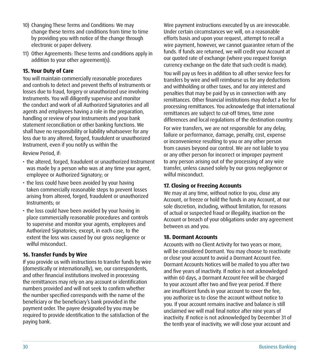- <span id="page-31-0"></span>10) Changing These Terms and Conditions: We may change these terms and conditions from time to time by providing you with notice of the change through electronic or paper delivery.
- 11) Other Agreements: These terms and conditions apply in addition to your other agreement(s).

#### **15. Your Duty of Care**

You will maintain commercially reasonable procedures and controls to detect and prevent thefts of Instruments or losses due to fraud, forgery or unauthorized use involving Instruments. You will diligently supervise and monitor the conduct and work of all Authorized Signatories and all agents and employees having a role in the preparation, handling or review of your Instruments and your bank statement reconciliation or other banking functions. We shall have no responsibility or liability whatsoever for any loss due to any altered, forged, fraudulent or unauthorized Instrument, even if you notify us within the

Review Period, if:

- the altered, forged, fraudulent or unauthorized Instrument was made by a person who was at any time your agent, employee or Authorized Signatory; or
- the loss could have been avoided by your having taken commercially reasonable steps to prevent losses arising from altered, forged, fraudulent or unauthorized Instruments; or
- the loss could have been avoided by your having in place commercially reasonable procedures and controls to supervise and monitor your agents, employees and Authorized Signatories; except, in each case, to the extent the loss was caused by our gross negligence or wilful misconduct.

#### **16. Transfer Funds by Wire**

If you provide us with instructions to transfer funds by wire (domestically or internationally), we, our correspondents, and other financial institutions involved in processing the remittances may rely on any account or identification numbers provided and will not seek to confirm whether the number specified corresponds with the name of the beneficiary or the beneficiary's bank provided in the payment order. The payee designated by you may be required to provide identification to the satisfaction of the paying bank.

Wire payment instructions executed by us are irrevocable. Under certain circumstances we will, on a reasonable efforts basis and upon your request, attempt to recall a wire payment, however, we cannot guarantee return of the funds. If funds are returned, we will credit your Account at our quoted rate of exchange (where you request foreign currency exchange on the date that such credit is made).

You will pay us fees in addition to all other service fees for transfers by wire and will reimburse us for any deductions and withholding or other taxes, and for any interest and penalties that may be paid by us in connection with any remittances. Other financial institutions may deduct a fee for processing remittances. You acknowledge that international remittances are subject to cut-off times, time zone differences and local regulations of the destination country.

For wire transfers, we are not responsible for any delay, failure or performance, damage, penalty, cost, expense or inconvenience resulting to you or any other person from causes beyond our control. We are not liable to you or any other person for incorrect or improper payment to any person arising out of the processing of any wire transfer, unless caused solely by our gross negligence or wilful misconduct.

#### **17. Closing or Freezing Accounts**

We may at any time, without notice to you, close any Account, or freeze or hold the funds in any Account, at our sole discretion, including, without limitation, for reasons of actual or suspected fraud or illegality, inaction on the Account or breach of your obligations under any agreement between us and you.

#### **18. Dormant Accounts**

Accounts with no Client Activity for two years or more, will be considered Dormant. You may choose to reactivate or close your account to avoid a Dormant Account Fee. Dormant Accounts Notices will be mailed to you after two and five years of inactivity. If notice is not acknowledged within 60 days, a Dormant Account Fee will be charged to your account after two and five year period. If there are insufficient funds in your account to cover the fee, you authorize us to close the account without notice to you. If your account remains inactive and balance is still unclaimed we will mail final notice after nine years of inactivity. If notice is not acknowledged by December 31 of the tenth year of inactivity, we will close your account and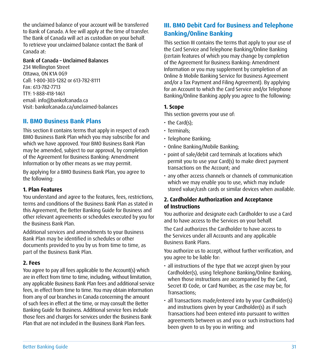<span id="page-32-0"></span>the unclaimed balance of your account will be transferred to Bank of Canada. A fee will apply at the time of transfer. The Bank of Canada will act as custodian on your behalf. To retrieve your unclaimed balance contact the Bank of Canada at:

#### Bank of Canada – Unclaimed Balances

234 Wellington Street Ottawa, ON K1A 0G9 Call: 1-800-303-1282 or 613-782-8111 Fax: 613-782-7713 TTY: 1-888-418-1461 email: [info@bankofcanada.ca](mailto:info%40bankofcanada.ca?subject=) Visit: [bankofcanada.ca/unclaimed-balances](http://bankofcanada.ca/unclaimed-balances)

#### **II. BMO Business Bank Plans**

This section II contains terms that apply in respect of each BMO Business Bank Plan which you may subscribe for and which we have approved. Your BMO Business Bank Plan may be amended, subject to our approval, by completion of the Agreement for Business Banking: Amendment Information or by other means as we may permit.

By applying for a BMO Business Bank Plan, you agree to the following:

#### **1. Plan Features**

You understand and agree to the features, fees, restrictions, terms and conditions of the Business Bank Plan as stated in this Agreement, the Better Banking Guide for Business and other relevant agreements or schedules executed by you for the Business Bank Plan.

Additional services and amendments to your Business Bank Plan may be identified in schedules or other documents provided to you by us from time to time, as part of the Business Bank Plan.

#### **2. Fees**

You agree to pay all fees applicable to the Account(s) which are in effect from time to time, including, without limitation, any applicable Business Bank Plan fees and additional service fees, in effect from time to time. You may obtain information from any of our branches in Canada concerning the amount of such fees in effect at the time, or may consult the Better Banking Guide for Business. Additional service fees include those fees and charges for services under the Business Bank Plan that are not included in the Business Bank Plan fees.

#### **III. BMO Debit Card for Business and Telephone Banking/Online Banking**

This section III contains the terms that apply to your use of the Card Service and Telephone Banking/Online Banking (certain features of which you may change by completion of the Agreement for Business Banking: Amendment Information or you may supplement by completion of an Online & Mobile Banking Service for Business Agreement and/or a Tax Payment and Filing Agreement). By applying for an Account to which the Card Service and/or Telephone Banking/Online Banking apply you agree to the following:

#### **1. Scope**

This section governs your use of:

- the Card(s);
- Terminals;
- Telephone Banking;
- Online Banking/Mobile Banking;
- point of sale/debit card terminals at locations which permit you to use your Card(s) to make direct payment transactions on the Account; and
- any other access channels or channels of communication which we may enable you to use, which may include stored value/cash cards or similar devices when available.

#### **2. Cardholder Authorization and Acceptance of Instructions**

You authorize and designate each Cardholder to use a Card and to have access to the Services on your behalf.

The Card authorizes the Cardholder to have access to the Services under all Accounts and any applicable Business Bank Plans.

You authorize us to accept, without further verification, and you agree to be liable for:

- all instructions of the type that we accept given by your Cardholder(s), using Telephone Banking/Online Banking, when those instructions are accompanied by the Card, Secret ID Code, or Card Number, as the case may be, for Transactions;
- all Transactions made/entered into by your Cardholder(s) and instructions given by your Cardholder(s) as if such Transactions had been entered into pursuant to written agreements between us and you or such instructions had been given to us by you in writing; and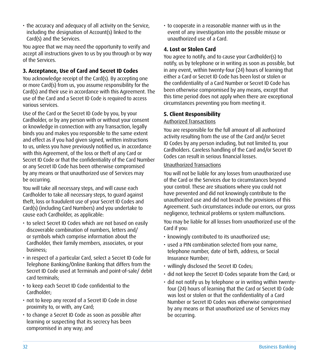<span id="page-33-0"></span>• the accuracy and adequacy of all activity on the Service, including the designation of Account(s) linked to the Card(s) and the Services.

You agree that we may need the opportunity to verify and accept all instructions given to us by you through or by way of the Services.

#### **3. Acceptance, Use of Card and Secret ID Codes**

You acknowledge receipt of the Card(s). By accepting one or more Card(s) from us, you assume responsibility for the Card(s) and their use in accordance with this Agreement. The use of the Card and a Secret ID Code is required to access various services.

Use of the Card or the Secret ID Code by you, by your Cardholder, or by any person with or without your consent or knowledge in connection with any Transaction, legally binds you and makes you responsible to the same extent and effect as if you had given signed, written instructions to us, unless you have previously notified us, in accordance with this Agreement, of the loss or theft of any Card or Secret ID Code or that the confidentiality of the Card Number or any Secret ID Code has been otherwise compromised by any means or that unauthorized use of Services may be occurring.

You will take all necessary steps, and will cause each Cardholder to take all necessary steps, to guard against theft, loss or fraudulent use of your Secret ID Codes and Card(s) (including Card Numbers) and you undertake to cause each Cardholder, as applicable:

- to select Secret ID Codes which are not based on easily discoverable combination of numbers, letters and/ or symbols which comprise information about the Cardholder, their family members, associates, or your business;
- in respect of a particular Card, select a Secret ID Code for Telephone Banking/Online Banking that differs from the Secret ID Code used at Terminals and point-of-sale/ debit card terminals;
- to keep each Secret ID Code confidential to the Cardholder;
- not to keep any record of a Secret ID Code in close proximity to, or with, any Card;
- to change a Secret ID Code as soon as possible after learning or suspecting that its secrecy has been compromised in any way; and

• to cooperate in a reasonable manner with us in the event of any investigation into the possible misuse or unauthorized use of a Card.

#### **4. Lost or Stolen Card**

You agree to notify, and to cause your Cardholder(s) to notify, us by telephone or in writing as soon as possible, but in any event, within twenty-four (24) hours of learning that either a Card or Secret ID Code has been lost or stolen or the confidentiality of a Card Number or Secret ID Code has been otherwise compromised by any means, except that this time period does not apply when there are exceptional circumstances preventing you from meeting it.

#### **5. Client Responsibility**

#### Authorized Transactions

You are responsible for the full amount of all authorized activity resulting from the use of the Card and/or Secret ID Codes by any person including, but not limited to, your Cardholders. Careless handling of the Card and/or Secret ID Codes can result in serious financial losses.

#### Unauthorized Transactions

You will not be liable for any losses from unauthorized use of the Card or the Services due to circumstances beyond your control. These are situations where you could not have prevented and did not knowingly contribute to the unauthorized use and did not breach the provisions of this Agreement. Such circumstances include our errors, our gross negligence, technical problems or system malfunctions.

You may be liable for all losses from unauthorized use of the Card if you:

- knowingly contributed to its unauthorized use;
- used a PIN combination selected from your name, telephone number, date of birth, address, or Social Insurance Number;
- willingly disclosed the Secret ID Codes;
- did not keep the Secret ID Codes separate from the Card; or
- did not notify us by telephone or in writing within twentyfour (24) hours of learning that the Card or Secret ID Code was lost or stolen or that the confidentiality of a Card Number or Secret ID Codes was otherwise compromised by any means or that unauthorized use of Services may be occurring.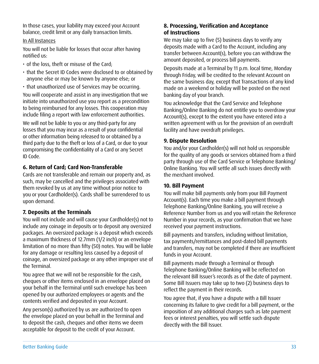<span id="page-34-0"></span>In those cases, your liability may exceed your Account balance, credit limit or any daily transaction limits.

#### In All Instances

You will not be liable for losses that occur after having notified us:

- of the loss, theft or misuse of the Card;
- that the Secret ID Codes were disclosed to or obtained by anyone else or may be known by anyone else; or
- that unauthorized use of Services may be occurring.

You will cooperate and assist in any investigation that we initiate into unauthorized use you report as a precondition to being reimbursed for any losses. This cooperation may include filing a report with law enforcement authorities.

We will not be liable to you or any third-party for any losses that you may incur as a result of your confidential or other information being released to or obtained by a third party due to the theft or loss of a Card, or due to your compromising the confidentiality of a Card or any Secret ID Code.

#### **6. Return of Card; Card Non-Transferable**

Cards are not transferable and remain our property and, as such, may be cancelled and the privileges associated with them revoked by us at any time without prior notice to you or your Cardholder(s). Cards shall be surrendered to us upon demand.

#### **7. Deposits at the Terminals**

You will not include and will cause your Cardholder(s) not to include any coinage in deposits or to deposit any oversized packages. An oversized package is a deposit which exceeds a maximum thickness of 12.7mm (1/2 inch) or an envelope limitation of no more than fifty (50) notes. You will be liable for any damage or resulting loss caused by a deposit of coinage, an oversized package or any other improper use of the Terminal.

You agree that we will not be responsible for the cash, cheques or other items enclosed in an envelope placed on your behalf in the Terminal until such envelope has been opened by our authorized employees or agents and the contents verified and deposited in your Account.

Any person(s) authorized by us are authorized to open the envelope placed on your behalf in the Terminal and to deposit the cash, cheques and other items we deem acceptable for deposit to the credit of your Account.

#### **8. Processing, Verification and Acceptance of Instructions**

We may take up to five (5) business days to verify any deposits made with a Card to the Account, including any transfer between Account(s), before you can withdraw the amount deposited, or process bill payments.

Deposits made at a Terminal by 11 p.m. local time, Monday through Friday, will be credited to the relevant Account on the same business day, except that Transactions of any kind made on a weekend or holiday will be posted on the next banking day of your branch.

You acknowledge that the Card Service and Telephone Banking/Online Banking do not entitle you to overdraw your Account(s), except to the extent you have entered into a written agreement with us for the provision of an overdraft facility and have overdraft privileges.

#### **9. Dispute Resolution**

You and/or your Cardholder(s) will not hold us responsible for the quality of any goods or services obtained from a third party through use of the Card Service or Telephone Banking/ Online Banking. You will settle all such issues directly with the merchant involved.

#### **10. Bill Payment**

You will make bill payments only from your Bill Payment Account(s). Each time you make a bill payment through Telephone Banking/Online Banking, you will receive a Reference Number from us and you will retain the Reference Number in your records, as your confirmation that we have received your payment instructions.

Bill payments and transfers, including without limitation, tax payments/remittances and post-dated bill payments and transfers, may not be completed if there are insufficient funds in your Account.

Bill payments made through a Terminal or through Telephone Banking/Online Banking will be reflected on the relevant Bill Issuer's records as of the date of payment. Some Bill Issuers may take up to two (2) business days to reflect the payment in their records.

You agree that, if you have a dispute with a Bill Issuer concerning its failure to give credit for a bill payment, or the imposition of any additional charges such as late payment fees or interest penalties, you will settle such dispute directly with the Bill Issuer.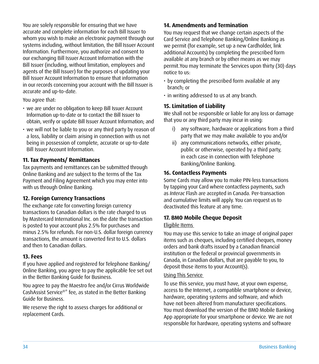<span id="page-35-0"></span>You are solely responsible for ensuring that we have accurate and complete information for each Bill Issuer to whom you wish to make an electronic payment through our systems including, without limitation, the Bill Issuer Account Information. Furthermore, you authorize and consent to our exchanging Bill Issuer Account Information with the Bill Issuer (including, without limitation, employees and agents of the Bill Issuer) for the purposes of updating your Bill Issuer Account Information to ensure that information in our records concerning your account with the Bill Issuer is accurate and up-to-date.

You agree that:

- we are under no obligation to keep Bill Issuer Account Information up-to-date or to contact the Bill Issuer to obtain, verify or update Bill Issuer Account Information; and
- we will not be liable to you or any third party by reason of a loss, liability or claim arising in connection with us not being in possession of complete, accurate or up-to-date Bill Issuer Account Information.

#### **11. Tax Payments/ Remittances**

Tax payments and remittances can be submitted through Online Banking and are subject to the terms of the Tax Payment and Filing Agreement which you may enter into with us through Online Banking.

#### **12. Foreign Currency Transactions**

The exchange rate for converting foreign currency transactions to Canadian dollars is the rate charged to us by Mastercard International Inc. on the date the transaction is posted to your account plus 2.5% for purchases and minus 2.5% for refunds. For non-U.S. dollar foreign currency transactions, the amount is converted first to U.S. dollars and then to Canadian dollars.

#### **13. Fees**

If you have applied and registered for Telephone Banking/ Online Banking, you agree to pay the applicable fee set out in the Better Banking Guide for Business.

You agree to pay the Maestro fee and/or Cirrus Worldwide CashAssist Service®\* fee, as stated in the Better Banking Guide for Business.

We reserve the right to assess charges for additional or replacement Cards.

#### **14. Amendments and Termination**

You may request that we change certain aspects of the Card Service and Telephone Banking/Online Banking as we permit (for example, set up a new Cardholder, link additional Accounts) by completing the prescribed form available at any branch or by other means as we may permit.You may terminate the Services upon thirty (30) days notice to us:

- by completing the prescribed form available at any branch; or
- in writing addressed to us at any branch.

#### **15. Limitation of Liability**

We shall not be responsible or liable for any loss or damage that you or any third party may incur in using:

- i) any software, hardware or applications from a third party that we may make available to you and/or
- ii) any communications networks, either private, public or otherwise, operated by a third party, in each case in connection with Telephone Banking/Online Banking.

#### **16. Contactless Payments**

Some Cards may allow you to make PIN-less transactions by tapping your Card where contactless payments, such as *Interac* Flash are accepted in Canada. Per-transaction and cumulative limits will apply. You can request us to deactivated this feature at any time.

#### **17. BMO Mobile Cheque Deposit**

#### Eligible Items

You may use this service to take an image of original paper items such as cheques, including certified cheques, money orders and bank drafts issued by a Canadian financial institution or the federal or provincial governments in Canada, in Canadian dollars, that are payable to you, to deposit those items to your Account(s).

#### Using This Service

To use this service, you must have, at your own expense, access to the Internet, a compatible smartphone or device, hardware, operating systems and software, and which have not been altered from manufacturer specifications. You must download the version of the BMO Mobile Banking App appropriate for your smartphone or device. We are not responsible for hardware, operating systems and software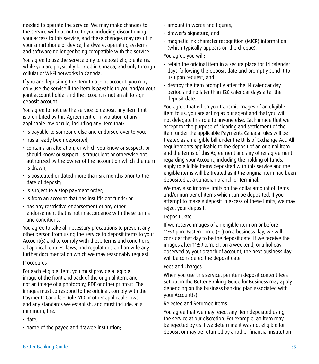needed to operate the service. We may make changes to the service without notice to you including discontinuing your access to this service, and these changes may result in your smartphone or device, hardware, operating systems and software no longer being compatible with the service.

You agree to use the service only to deposit eligible items, while you are physically located in Canada, and only through cellular or Wi-Fi networks in Canada.

If you are depositing the item to a joint account, you may only use the service if the item is payable to you and/or your joint account holder and the account is not an all to sign deposit account.

You agree to not use the service to deposit any item that is prohibited by this Agreement or in violation of any applicable law or rule, including any item that:

- is payable to someone else and endorsed over to you;
- has already been deposited;
- contains an alteration, or which you know or suspect, or should know or suspect, is fraudulent or otherwise not authorized by the owner of the account on which the item is drawn;
- is postdated or dated more than six months prior to the date of deposit;
- is subject to a stop payment order;
- is from an account that has insufficient funds; or
- has any restrictive endorsement or any other endorsement that is not in accordance with these terms and conditions.

You agree to take all necessary precautions to prevent any other person from using the service to deposit items to your Account(s) and to comply with these terms and conditions, all applicable rules, laws, and regulations and provide any further documentation which we may reasonably request.

#### Procedures

For each eligible item, you must provide a legible image of the front and back of the original item, and not an image of a photocopy, PDF or other printout. The images must correspond to the original, comply with the Payments Canada – Rule A10 or other applicable laws and any standards we establish, and must include, at a minimum, the:

- date;
- name of the payee and drawee institution;
- amount in words and figures;
- drawer's signature; and
- magnetic ink character recognition (MICR) information (which typically appears on the cheque).

You agree you will:

- retain the original item in a secure place for 14 calendar days following the deposit date and promptly send it to us upon request; and
- destroy the item promptly after the 14 calendar day period and no later than 120 calendar days after the deposit date.

You agree that when you transmit images of an eligible item to us, you are acting as our agent and that you will not delegate this role to anyone else. Each image that we accept for the purpose of clearing and settlement of the item under the applicable Payments Canada rules will be treated as an eligible bill under the Bills of Exchange Act. All requirements applicable to the deposit of an original item and the terms of this Agreement and any other agreement regarding your Account, including the holding of funds, apply to eligible items deposited with this service and the eligible items will be treated as if the original item had been deposited at a Canadian branch or Terminal.

We may also impose limits on the dollar amount of items and/or number of items which can be deposited. If you attempt to make a deposit in excess of these limits, we may reject your deposit.

#### Deposit Date

If we receive images of an eligible item on or before 11:59 p.m. Eastern Time (ET) on a business day, we will consider that day to be the deposit date. If we receive the images after 11:59 p.m. ET, on a weekend, or a holiday observed by your branch of account, the next business day will be considered the deposit date.

#### Fees and Charges

When you use this service, per-item deposit content fees set out in the Better Banking Guide for Business may apply depending on the business banking plan associated with your Account(s).

#### Rejected and Returned Items

You agree that we may reject any item deposited using the service at our discretion. For example, an item may be rejected by us if we determine it was not eligible for deposit or may be returned by another financial institution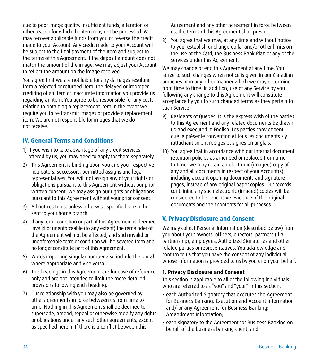<span id="page-37-0"></span>due to poor image quality, insufficient funds, alteration or other reason for which the item may not be processed. We may recover applicable funds from you or reverse the credit made to your Account. Any credit made to your Account will be subject to the final payment of the item and subject to the terms of this Agreement. If the deposit amount does not match the amount of the image, we may adjust your Account to reflect the amount on the image received.

You agree that we are not liable for any damages resulting from a rejected or returned item, the delayed or improper crediting of an item or inaccurate information you provide us regarding an item. You agree to be responsible for any costs relating to obtaining a replacement item in the event we require you to re-transmit images or provide a replacement item. We are not responsible for images that we do not receive.

#### **IV. General Terms and Conditions**

- 1) If you wish to take advantage of any credit services offered by us, you may need to apply for them separately.
- 2) This Agreement is binding upon you and your respective liquidators, successors, permitted assigns and legal representatives. You will not assign any of your rights or obligations pursuant to this Agreement without our prior written consent. We may assign our rights or obligations pursuant to this Agreement without your prior consent.
- 3) All notices to us, unless otherwise specified, are to be sent to your home branch.
- 4) If any term, condition or part of this Agreement is deemed invalid or unenforceable (to any extent) the remainder of the Agreement will not be affected, and such invalid or unenforceable term or condition will be severed from and no longer constitute part of this Agreement.
- 5) Words importing singular number also include the plural where appropriate and vice versa.
- 6) The headings in this Agreement are for ease of reference only and are not intended to limit the more detailed provisions following each heading.
- 7) Our relationship with you may also be governed by other agreements in force between us from time to time. Nothing in this Agreement shall be deemed to supersede, amend, repeal or otherwise modify any rights or obligations under any such other agreements, except as specified herein. If there is a conflict between this

Agreement and any other agreement in force between us, the terms of this Agreement shall prevail.

8) You agree that we may, at any time and without notice to you, establish or change dollar and/or other limits on the use of the Card, the Business Bank Plan or any of the services under this Agreement.

We may change or end this Agreement at any time. You agree to such changes when notice is given in our Canadian branches or in any other manner which we may determine from time to time. In addition, use of any Service by you following any change to this Agreement will constitute acceptance by you to such changed terms as they pertain to such Service.

- 9) Residents of Quebec: It is the express wish of the parties to this Agreement and any related documents be drawn up and executed in English. Les parties conviennent que le présente convention et tous les documents s'y rattachant soient rédigés et signés en anglais.
- 10) You agree that in accordance with our internal document retention policies as amended or replaced from time to time, we may retain an electronic (imaged) copy of any and all documents in respect of your Account(s), including account opening documents and signature pages, instead of any original paper copies. Our records containing any such electronic (imaged) copies will be considered to be conclusive evidence of the original documents and their contents for all purposes.

#### **V. Privacy Disclosure and Consent**

We may collect Personal Information (described below) from you about your owners, officers, directors, partners (if a partnership), employees, Authorized Signatories and other related parties or representatives. You acknowledge and confirm to us that you have the consent of any individual whose information is provided to us by you or on your behalf.

#### **1. Privacy Disclosure and Consent**

This section is applicable to all of the following individuals who are referred to as "you" and "your" in this section:

- each Authorized Signatory that executes the Agreement for Business Banking: Execution and Account Information and/ or any Agreement for Business Banking: Amendment Information;
- each signatory to the Agreement for Business Banking on behalf of the business banking client; and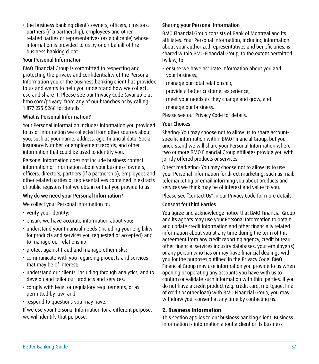- 
- Better Banking Guide 37
- permitted by law; and • respond to questions you may have.

If we use your Personal Information for a different purpose, we will identify that purpose.

Why do we need your Personal Information?

We collect your Personal Information to:

- verify your identity;
- ensure we have accurate information about you;
- understand your financial needs (including your eligibility for products and services you requested or accepted) and to manage our relationship;
- protect against fraud and manage other risks;

develop and tailor our products and services; • comply with legal or regulatory requirements, or as

• communicate with you regarding products and services that may be of interest;

• understand our clients, including through analytics, and to

#### Insurance Number, or employment records, and other information that could be used to identify you.

Personal Information does not include business contact information or information about your business' owners, officers, directors, partners (if a partnership), employees and other related parties or representatives contained in extracts of public registers that we obtain or that you provide to us.

use and share it. Please see our Privacy Code (available at [bmo.com/privacy,](https://www.bmo.com/main/about-bmo/privacy-security/our-privacy-code/) from any of our branches or by calling 1-877-225-5266 for details. What is Personal Information?

<span id="page-38-0"></span>• the business banking client's owners, officers, directors, partners (if a partnership), employees and other related parties or representatives (as applicable) whose information is provided to us by or on behalf of the

BMO Financial Group is committed to respecting and protecting the privacy and confidentiality of the Personal

business banking client. Your Personal Information

Your Personal Information includes information you provided to us or information we collected from other sources about you, such as your name, address, age, financial data, Social

Information you or the business banking client has provided to us and wants to help you understand how we collect,

#### Sharing your Personal Information

BMO Financial Group consists of Bank of Montreal and its affiliates. Your Personal Information, including information about your authorized representatives and beneficiaries, is shared within BMO Financial Group, to the extent permitted by law, to:

- ensure we have accurate information about you and your business,
- manage our total relationship,
- provide a better customer experience,
- meet your needs as they change and grow, and
- manage our business.

Please see our Privacy Code for details.

#### Your Choices

Sharing: You may choose not to allow us to share accountspecific information within BMO Financial Group, but you understand we will share your Personal Information where two or more BMO Financial Group affiliates provide you with jointly offered products or services.

Direct marketing: You may choose not to allow us to use your Personal Information for direct marketing, such as mail, telemarketing or email informing you about products and services we think may be of interest and value to you.

Please see "Contact Us" in our Privacy Code for more details.

#### Consent for Third Parties

You agree and acknowledge notice that BMO Financial Group and its agents may use your Personal Information to obtain and update credit information and other financially related information about you at any time during the term of this agreement from any credit reporting agency, credit bureau, other financial services industry databases, your employer(s) or any person who has or may have financial dealings with you for the purposes outlined in the Privacy Code. BMO Financial Group may use information you provide to us when opening or operating any accounts you have with us to confirm or validate such information with third parties. If you do not have a credit product (e.g. credit card, mortgage, line of credit or other loan) with BMO Financial Group, you may withdraw your consent at any time by contacting us.

#### **2. Business Information**

This section applies to our business banking client. Business Information is information about a client or its business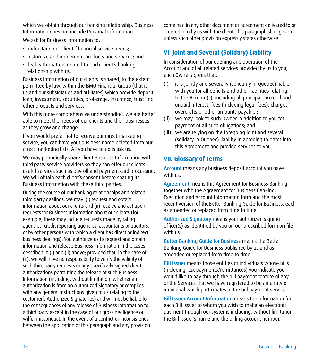<span id="page-39-0"></span>which we obtain through our banking relationship. Business Information does not include Personal Information.

We ask for Business Information to:

- understand our clients' financial service needs;
- customize and implement products and services; and
- deal with matters related to each client's banking relationship with us.

Business Information of our clients is shared, to the extent permitted by law, within the BMO Financial Group (that is, us and our subsidiaries and affiliates) which provide deposit, loan, investment, securities, brokerage, insurance, trust and other products and services.

With this more comprehensive understanding, we are better able to meet the needs of our clients and their businesses as they grow and change.

If you would prefer not to receive our direct marketing service, you can have your business name deleted from our direct marketing lists. All you have to do is ask us.

We may periodically share client Business Information with third party service providers so they can offer our clients useful services such as payroll and payment card processing. We will obtain each client's consent before sharing its Business Information with these third parties.

During the course of our banking relationships and related third party dealings, we may: (i) request and obtain information about our clients and (ii) receive and act upon requests for Business Information about our clients (for example, these may include requests made by rating agencies, credit reporting agencies, accountants or auditors, or by other persons with which a client has direct or indirect business dealings). You authorize us to request and obtain information and release Business Information in the cases described in (i) and (ii) above; provided that, in the case of (ii), we will have no responsibility to verify the validity of such third party requests or any specifically signed client authorizations permitting the release of such Business Information (including, without limitation, whether an authorization is from an Authorized Signatory or complies with any general instructions given to us relating to the customer's Authorized Signatories) and will not be liable for the consequences of any release of Business Information to a third party except in the case of our gross negligence or wilful misconduct. In the event of a conflict or inconsistency between the application of this paragraph and any provision contained in any other document or agreement delivered to or entered into by us with the client, this paragraph shall govern unless such other provision expressly states otherwise.

#### **VI. Joint and Several (Solidary) Liability**

In consideration of our opening and operation of the Account and of all related services provided by us to you, each Owner agrees that:

- (i) it is jointly and severally (solidarily in Quebec) liable with you for all deficits and other liabilities relating to the Account(s), including all principal, accrued and unpaid interest, fees (including legal fees), charges, overdrafts or other amounts payable ;
- (ii) we may look to such Owner in addition to you for payment of all such obligations; and
- (iii) we are relying on the foregoing joint and several (solidary in Quebec) liability in agreeing to enter into this Agreement and provide services to you.

#### **VII. Glossary of Terms**

Account means any business deposit account you have with us.

Agreement means this Agreement for Business Banking together with the Agreement for Business Banking: Execution and Account Information form and the most recent version of theBetter Banking Guide for Business, each as amended or replaced from time to time.

Authorized Signatory means your authorized signing officer(s) as identified by you on our prescribed form on file with us.

Better Banking Guide for Business means the Better Banking Guide for Business published by us and as amended or replaced from time to time.

Bill Issuer means those entities or individuals whose bills (including, tax payments/remittances) you indicate you would like to pay through the bill payment feature of any of the Services that we have registered to be an entity or individual which participates in the bill payment service.

Bill Issuer Account Information means the information for each Bill Issuer to whom you wish to make an electronic payment through our systems including, without limitation, the Bill Issuer's name and the billing account number.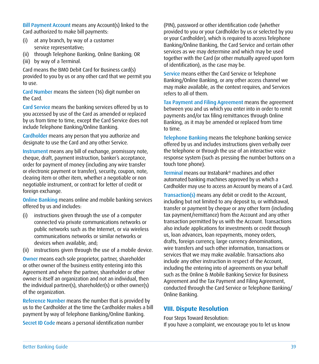Bill Payment Account means any Account(s) linked to the Card authorized to make bill payments:

- (i) at any branch, by way of a customer service representative;
- (ii) through Telephone Banking, Online Banking; OR
- (iii) by way of a Terminal.

Card means the BMO Debit Card for Business card(s) provided to you by us or any other card that we permit you to use.

Card Number means the sixteen (16) digit number on the Card.

Card Service means the banking services offered by us to you accessed by use of the Card as amended or replaced by us from time to time, except the Card Service does not include Telephone Banking/Online Banking.

Cardholder means any person that you authorize and designate to use the Card and any other Service.

Instrument means any bill of exchange, promissory note, cheque, draft, payment instruction, banker's acceptance, order for payment of money (including any wire transfer or electronic payment or transfer), security, coupon, note, clearing item or other item, whether a negotiable or non negotiable instrument, or contract for letter of credit or foreign exchange.

Online Banking means online and mobile banking services offered by us and includes:

- (i) instructions given through the use of a computer connected via private communications networks or public networks such as the Internet, or via wireless communications networks or similar networks or devices when available, and;
- (ii) instructions given through the use of a mobile device.

Owner means each sole proprietor, partner, shareholder or other owner of the business entity entering into this Agreement and where the partner, shareholder or other owner is itself an organization and not an individual, then the individual partner(s), shareholder(s) or other owner(s) of the organization.

Reference Number means the number that is provided by us to the Cardholder at the time the Cardholder makes a bill payment by way of Telephone Banking/Online Banking.

Secret ID Code means a personal identification number

(PIN), password or other identification code (whether provided to you or your Cardholder by us or selected by you or your Cardholder), which is required to access Telephone Banking/Online Banking, the Card Service and certain other services as we may determine and which may be used together with the Card (or other mutually agreed upon form of identification), as the case may be.

Service means either the Card Service or Telephone Banking/Online Banking, or any other access channel we may make available, as the context requires, and Services refers to all of them.

Tax Payment and Filing Agreement means the agreement between you and us which you enter into in order to remit payments and/or tax filing remittances through Online Banking, as it may be amended or replaced from time to time.

Telephone Banking means the telephone banking service offered by us and includes instructions given verbally over the telephone or through the use of an interactive voice response system (such as pressing the number buttons on a touch tone phone).

Terminal means our Instabank® machines and other automated banking machines approved by us which a Cardholder may use to access an Account by means of a Card.

Transaction(s) means any debit or credit to the Account, including but not limited to any deposit to, or withdrawal, transfer or payment by cheque or any other form (including tax payment/remittance) from the Account and any other transaction permitted by us with the Account. Transactions also include applications for investments or credit through us, loan advances, loan repayments, money orders, drafts, foreign currency, large currency denominations, wire transfers and such other information, transactions or services that we may make available. Transactions also include any other instruction in respect of the Account, including the entering into of agreements on your behalf such as the Online & Mobile Banking Service for Business Agreement and the Tax Payment and Filing Agreement, conducted through the Card Service or Telephone Banking/ Online Banking.

#### **VIII. Dispute Resolution**

Four Steps Toward Resolution:

If you have a complaint, we encourage you to let us know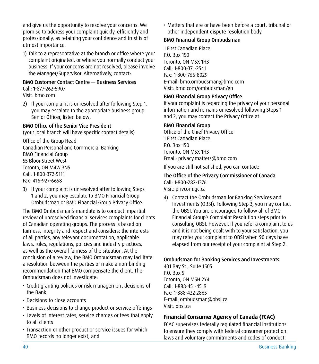<span id="page-41-0"></span>and give us the opportunity to resolve your concerns. We promise to address your complaint quickly, efficiently and professionally, as retaining your confidence and trust is of utmost importance.

1) Talk to a representative at the branch or office where your complaint originated, or where you normally conduct your business. If your concerns are not resolved, please involve the Manager/Supervisor. Alternatively, contact:

#### BMO Customer Contact Centre — Business Services

Call: 1-877-262-5907 Visit: [bmo.com](https://www.bmo.com/main/personal)

2) If your complaint is unresolved after following Step 1, you may escalate to the appropriate business group Senior Officer, listed below:

#### BMO Office of the Senior Vice President

(your local branch will have specific contact details)

Office of the Group Head Canadian Personal and Commercial Banking BMO Financial Group 55 Bloor Street West Toronto, ON M4W 3N5 Call: 1-800-372-5111 Fax: 416-927-6658

3) If your complaint is unresolved after following Steps 1 and 2, you may escalate to BMO Financial Group Ombudsman or BMO Financial Group Privacy Office.

The BMO Ombudsman's mandate is to conduct impartial review of unresolved financial services complaints for clients of Canadian operating groups. The process is based on fairness, integrity and respect and considers: the interests of all parties, any relevant documentation, applicable laws, rules, regulations, policies and industry practices, as well as the overall fairness of the situation. At the conclusion of a review, the BMO Ombudsman may facilitate a resolution between the parties or make a non-binding recommendation that BMO compensate the client. The Ombudsman does not investigate:

- Credit granting policies or risk management decisions of the Bank
- Decisions to close accounts
- Business decisions to change product or service offerings
- Levels of interest rates, service charges or fees that apply to all clients
- Transaction or other product or service issues for which BMO records no longer exist; and

• Matters that are or have been before a court, tribunal or other independent dispute resolution body.

#### BMO Financial Group Ombudsman

1 First Canadian Place P.O. Box 150 Toronto, ON M5X 1H3 Call: 1-800-371-2541 Fax: 1-800-766-8029 E-mail: [bmo.ombudsman@bmo.com](mailto:bmo.ombudsman%40bmo.com?subject=) Visit: [bmo.com/ombudsman/en](https://corporate-responsibility.bmo.com/our-practices/business-conduct/office-of-the-ombudsman/)

#### BMO Financial Group Privacy Office

If your complaint is regarding the privacy of your personal information and remains unresolved following Steps 1 and 2, you may contact the Privacy Office at:

#### BMO Financial Group

Office of the Chief Privacy Officer 1 First Canadian Place P.O. Box 150 Toronto, ON M5X 1H3 Email: [privacy.matters@bmo.com](mailto:privacy.matters%40bmo.com?subject=)

If you are still not satisfied, you can contact:

### The Office of the Privacy Commissioner of Canada

Call: 1-800-282-1376 Visit: [privcom.gc.ca](http://privcom.gc.ca)

4) Contact the Ombudsman for Banking Services and Investments (OBSI). Following Step 3, you may contact the OBSI. You are encouraged to follow all of BMO Financial Group's Complaint Resolution steps prior to consulting OBSI. However, if you refer a complaint to us and it is not being dealt with to your satisfaction, you may refer your complaint to OBSI when 90 days have elapsed from our receipt of your complaint at Step 2.

#### Ombudsman for Banking Services and Investments

401 Bay St., Suite 1505 P.O. Box 5 Toronto, ON M5H 2Y4 Call: 1-888-451-4519 Fax: 1-888-422-2865 E-mail: [ombudsman@obsi.ca](mailto:ombudsman%40obsi.ca?subject=) Visit: [obsi.ca](http://obsi.ca)

#### **Financial Consumer Agency of Canada (FCAC)**

FCAC supervises federally regulated financial institutions to ensure they comply with federal consumer protection laws and voluntary commitments and codes of conduct.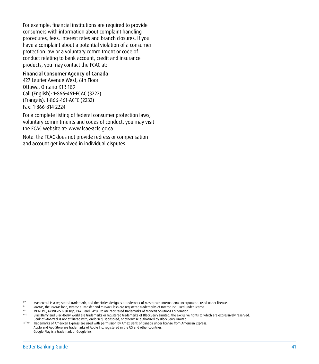<span id="page-42-0"></span>For example: financial institutions are required to provide consumers with information about complaint handling procedures, fees, interest rates and branch closures. If you have a complaint about a potential violation of a consumer protection law or a voluntary commitment or code of conduct relating to bank account, credit and insurance products, you may contact the FCAC at:

#### Financial Consumer Agency of Canada

427 Laurier Avenue West, 6th Floor Ottawa, Ontario K1R 1B9 Call (English): 1-866-461-FCAC (3222) (Français): 1-866-461-ACFC (2232) Fax: 1-866-814-2224

For a complete listing of federal consumer protection laws, voluntary commitments and codes of conduct, you may visit the FCAC website at: [www.fcac-acfc.gc.ca](http://www.fcac-acfc.gc.ca)

Note: the FCAC does not provide redress or compensation and account get involved in individual disputes.

<sup>®</sup><br><sup>®</sup> *Interac*, the *Interac* logo, *Interac* e-Transfer and *Interac* Flash are registered trademarks of Interactional Incorporated. Used under license.<br><sup>®†</sup> MONERIS, MONERIS & Design, PAYD and PAYD Pro are registered

- 
- BlackBerry and BlackBerry World are trademarks or registered trademarks of BlackBerry Limited, the exclusive rights to which are expressively reserved. Bank of Montreal is not affiliated with, endorsed, sponsored, or otherwise authorized by BlackBerry Limited.

THA\*/®\*\* Trademarks of American Express are used with permission by Amex Bank of Canada under license from American Express. Apple and App Store are trademarks of Apple Inc. registered in the US and other countries. Google Play is a trademark of Google Inc.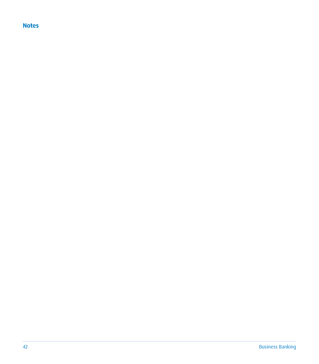#### **Notes**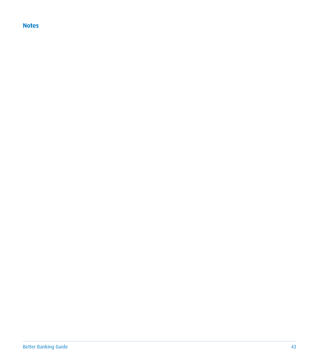#### **Notes**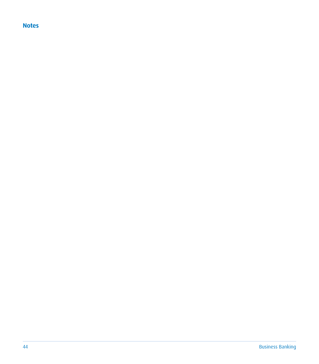#### **Notes**